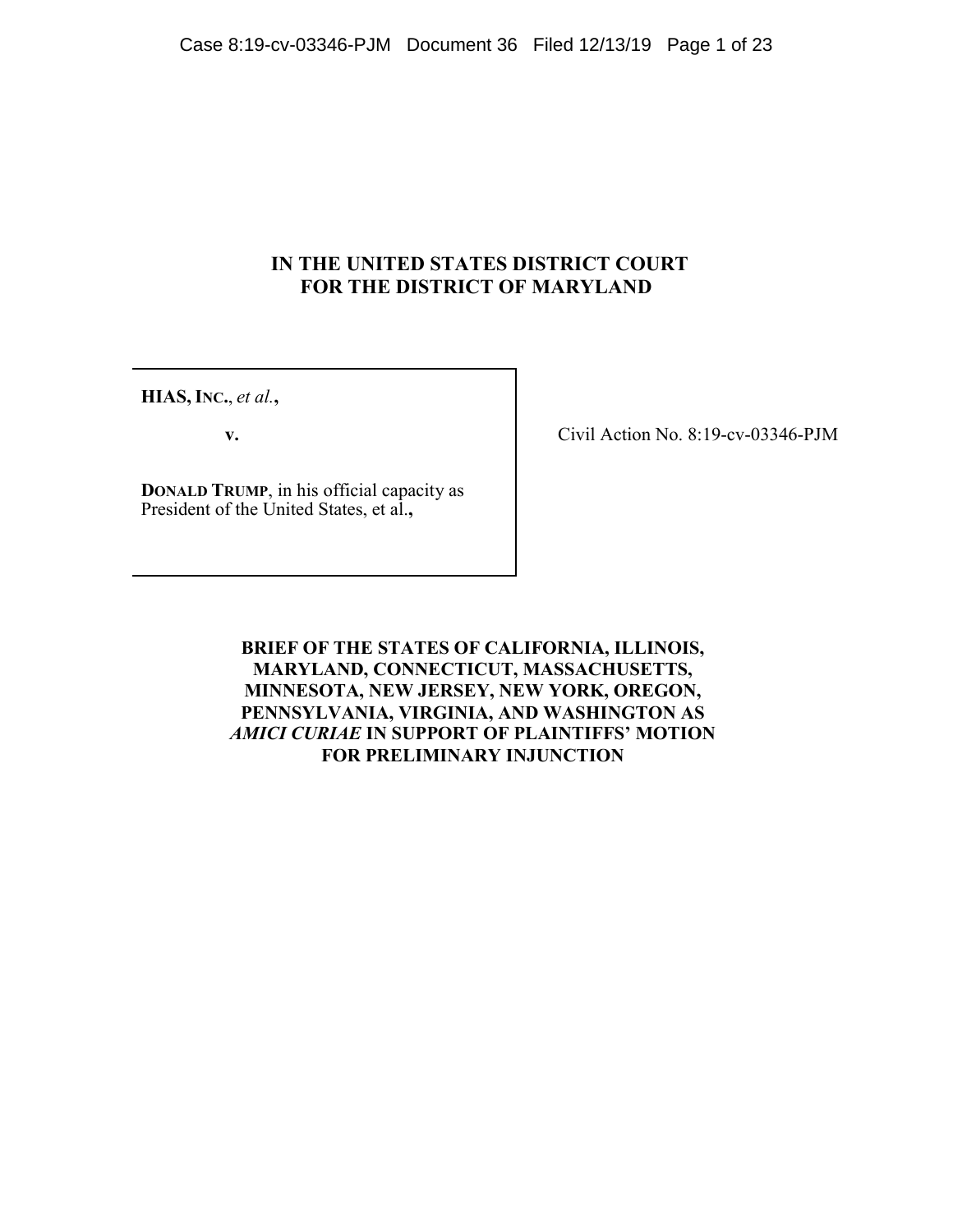# **IN THE UNITED STATES DISTRICT COURT FOR THE DISTRICT OF MARYLAND**

**HIAS, INC.**, *et al.***,**

**v.**

**DONALD TRUMP**, in his official capacity as President of the United States, et al.**,**

Civil Action No. 8:19-cv-03346-PJM

**BRIEF OF THE STATES OF CALIFORNIA, ILLINOIS, MARYLAND, CONNECTICUT, MASSACHUSETTS, MINNESOTA, NEW JERSEY, NEW YORK, OREGON, PENNSYLVANIA, VIRGINIA, AND WASHINGTON AS**  *AMICI CURIAE* **IN SUPPORT OF PLAINTIFFS' MOTION FOR PRELIMINARY INJUNCTION**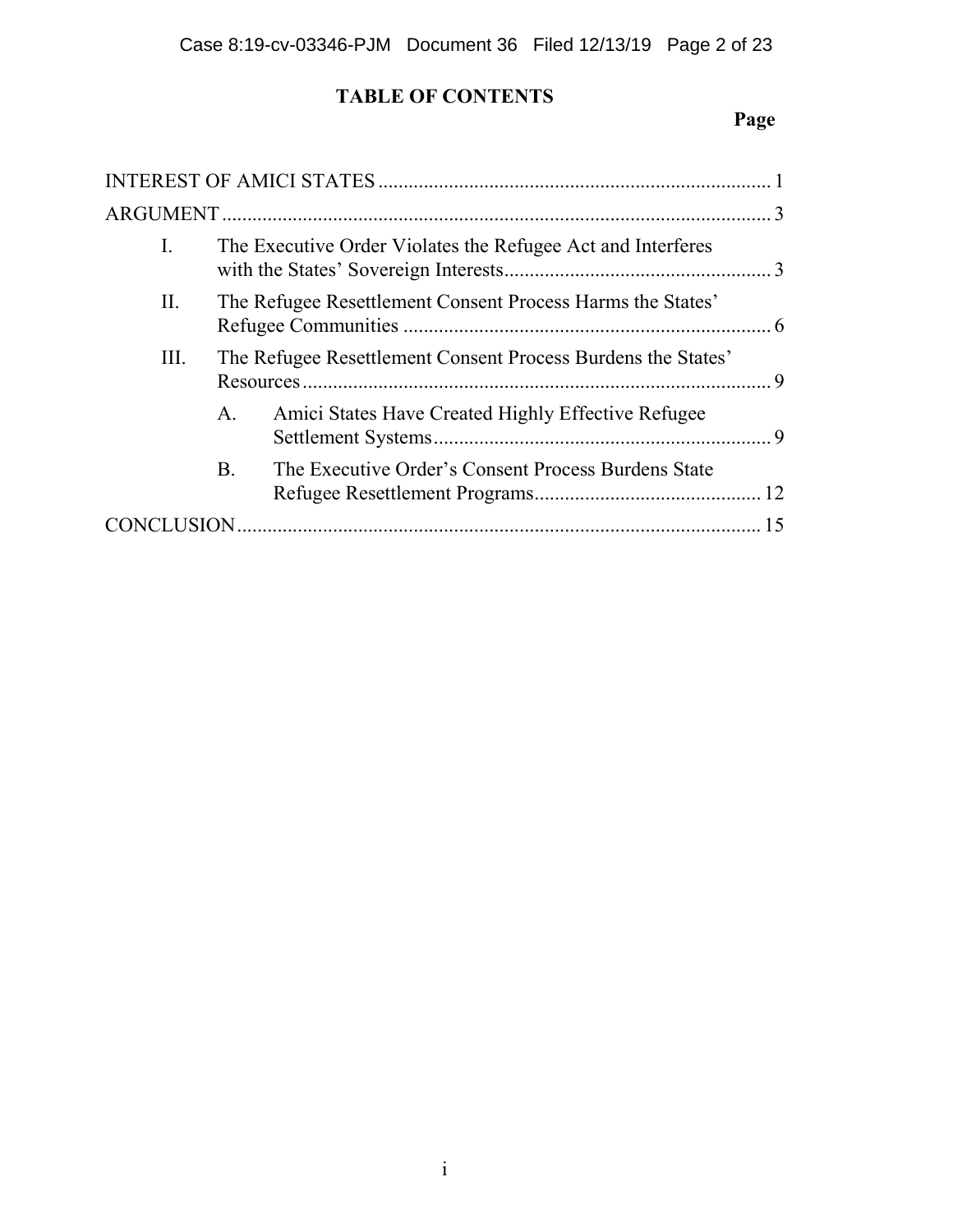# **TABLE OF CONTENTS**

# **Page**

| Ι. |                | The Executive Order Violates the Refugee Act and Interferes  |  |  |
|----|----------------|--------------------------------------------------------------|--|--|
| П. |                | The Refugee Resettlement Consent Process Harms the States'   |  |  |
| Ш. |                | The Refugee Resettlement Consent Process Burdens the States' |  |  |
|    | $\mathsf{A}$ . | Amici States Have Created Highly Effective Refugee           |  |  |
|    | B.             | The Executive Order's Consent Process Burdens State          |  |  |
|    |                |                                                              |  |  |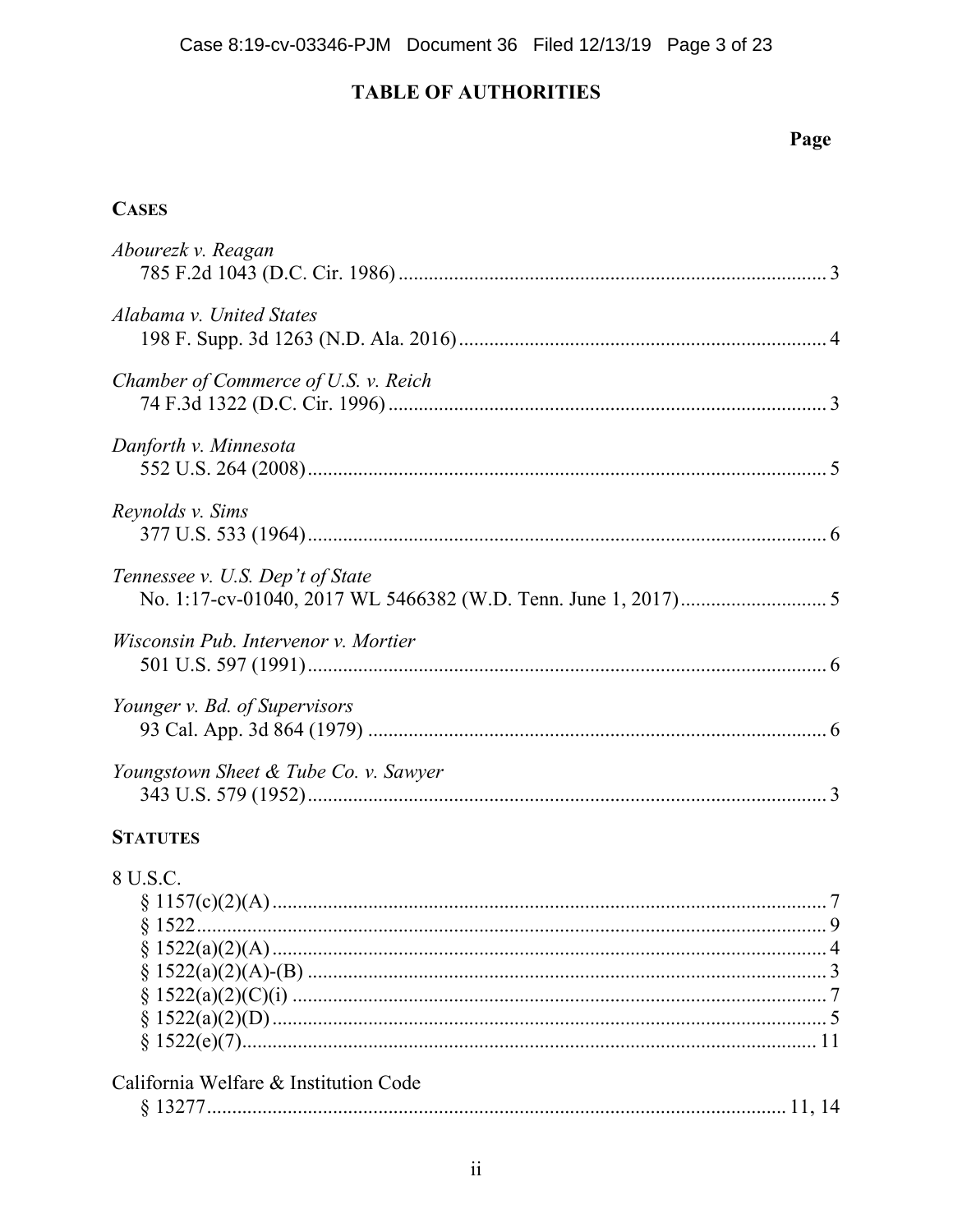# **TABLE OF AUTHORITIES**

# Page

# **CASES**

| Abourezk v. Reagan                    |  |
|---------------------------------------|--|
| Alabama v. United States              |  |
| Chamber of Commerce of U.S. v. Reich  |  |
| Danforth v. Minnesota                 |  |
| Reynolds v. Sims                      |  |
| Tennessee v. U.S. Dep't of State      |  |
| Wisconsin Pub. Intervenor v. Mortier  |  |
| Younger v. Bd. of Supervisors         |  |
| Youngstown Sheet & Tube Co. v. Sawyer |  |
|                                       |  |

# **STATUTES**

| 8 U S C                               |  |
|---------------------------------------|--|
|                                       |  |
|                                       |  |
|                                       |  |
|                                       |  |
|                                       |  |
|                                       |  |
|                                       |  |
| California Welfare & Institution Code |  |
|                                       |  |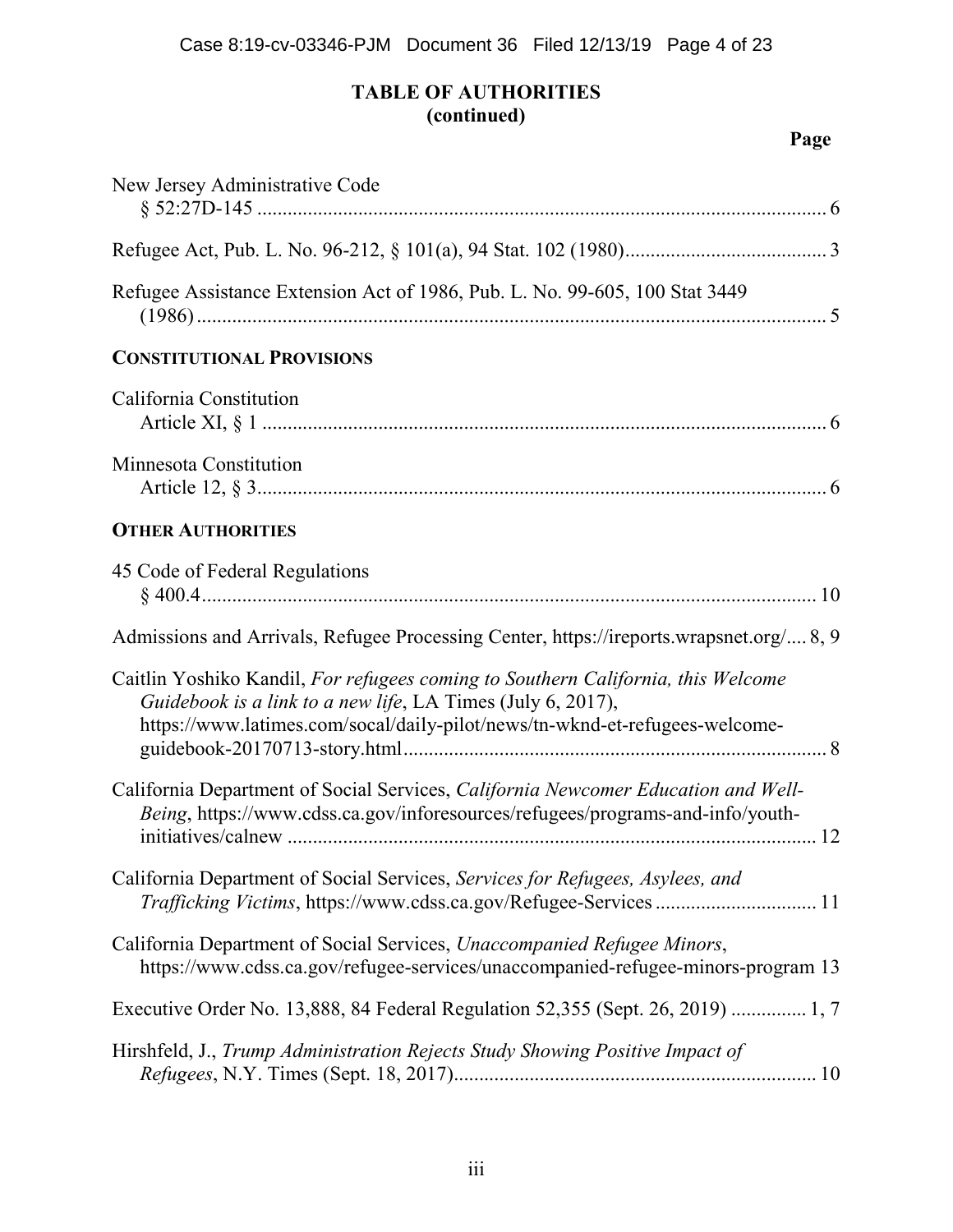# **TABLE OF AUTHORITIES (continued)**

| New Jersey Administrative Code                                                                                                                                                                                                 |
|--------------------------------------------------------------------------------------------------------------------------------------------------------------------------------------------------------------------------------|
|                                                                                                                                                                                                                                |
| Refugee Assistance Extension Act of 1986, Pub. L. No. 99-605, 100 Stat 3449                                                                                                                                                    |
| <b>CONSTITUTIONAL PROVISIONS</b>                                                                                                                                                                                               |
| California Constitution                                                                                                                                                                                                        |
| Minnesota Constitution                                                                                                                                                                                                         |
| <b>OTHER AUTHORITIES</b>                                                                                                                                                                                                       |
| 45 Code of Federal Regulations                                                                                                                                                                                                 |
| Admissions and Arrivals, Refugee Processing Center, https://ireports.wrapsnet.org/ 8, 9                                                                                                                                        |
| Caitlin Yoshiko Kandil, For refugees coming to Southern California, this Welcome<br>Guidebook is a link to a new life, LA Times (July 6, 2017),<br>https://www.latimes.com/socal/daily-pilot/news/tn-wknd-et-refugees-welcome- |
| California Department of Social Services, California Newcomer Education and Well-<br>Being, https://www.cdss.ca.gov/inforesources/refugees/programs-and-info/youth-                                                            |
| California Department of Social Services, Services for Refugees, Asylees, and<br>Trafficking Victims, https://www.cdss.ca.gov/Refugee-Services 11                                                                              |
| California Department of Social Services, Unaccompanied Refugee Minors,<br>https://www.cdss.ca.gov/refugee-services/unaccompanied-refugee-minors-program 13                                                                    |
| Executive Order No. 13,888, 84 Federal Regulation 52,355 (Sept. 26, 2019)  1, 7                                                                                                                                                |
| Hirshfeld, J., Trump Administration Rejects Study Showing Positive Impact of                                                                                                                                                   |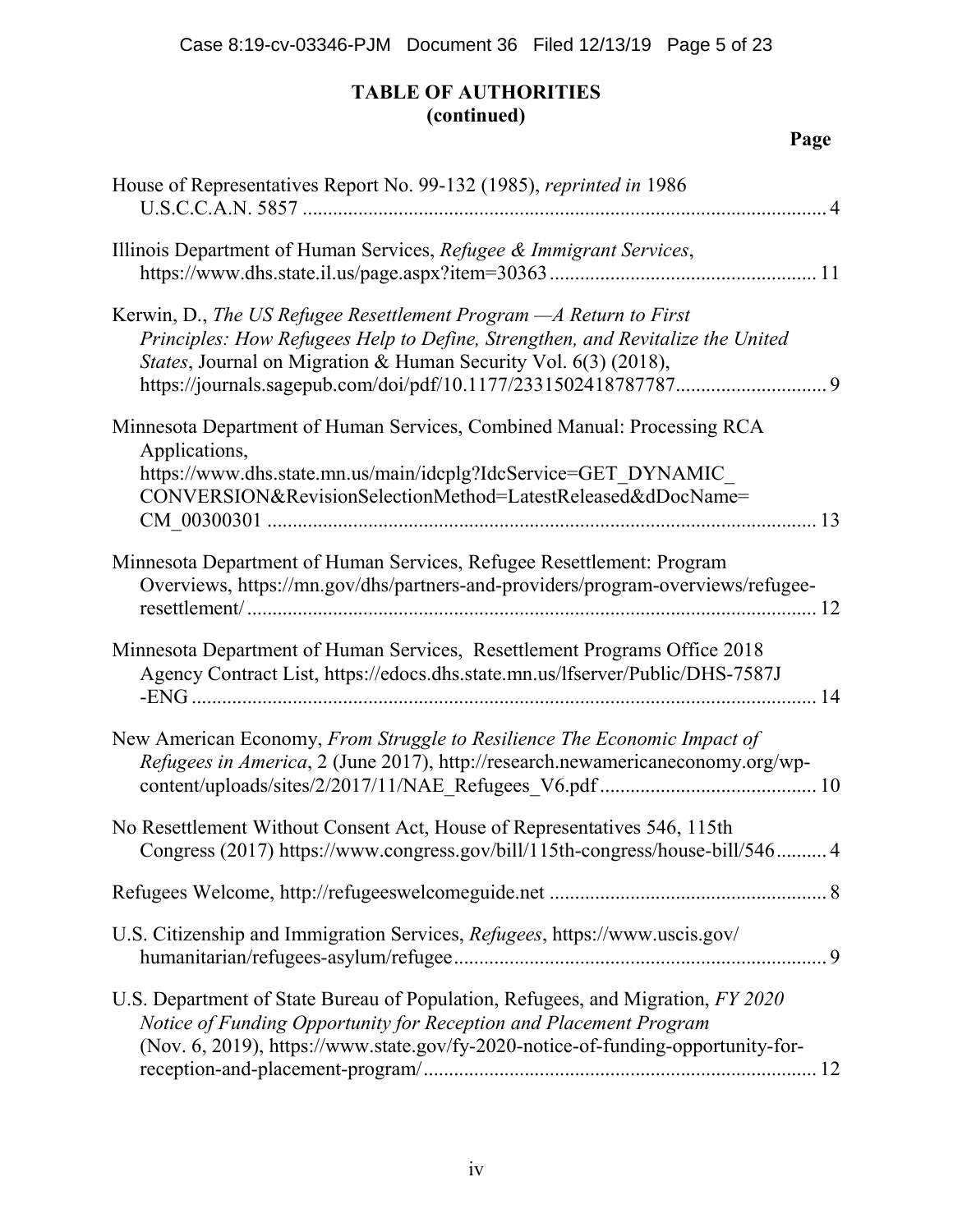# **TABLE OF AUTHORITIES (continued)**

| House of Representatives Report No. 99-132 (1985), reprinted in 1986                                                                                                                                                                     |
|------------------------------------------------------------------------------------------------------------------------------------------------------------------------------------------------------------------------------------------|
| Illinois Department of Human Services, Refugee & Immigrant Services,                                                                                                                                                                     |
| Kerwin, D., The US Refugee Resettlement Program - A Return to First<br>Principles: How Refugees Help to Define, Strengthen, and Revitalize the United<br>States, Journal on Migration & Human Security Vol. 6(3) (2018),                 |
| Minnesota Department of Human Services, Combined Manual: Processing RCA<br>Applications,<br>https://www.dhs.state.mn.us/main/idcplg?IdcService=GET DYNAMIC                                                                               |
| CONVERSION&RevisionSelectionMethod=LatestReleased&dDocName=                                                                                                                                                                              |
| Minnesota Department of Human Services, Refugee Resettlement: Program<br>Overviews, https://mn.gov/dhs/partners-and-providers/program-overviews/refugee-                                                                                 |
| Minnesota Department of Human Services, Resettlement Programs Office 2018<br>Agency Contract List, https://edocs.dhs.state.mn.us/lfserver/Public/DHS-7587J                                                                               |
| New American Economy, From Struggle to Resilience The Economic Impact of<br>Refugees in America, 2 (June 2017), http://research.newamericaneconomy.org/wp-                                                                               |
| No Resettlement Without Consent Act, House of Representatives 546, 115th<br>Congress (2017) https://www.congress.gov/bill/115th-congress/house-bill/546 4                                                                                |
|                                                                                                                                                                                                                                          |
| U.S. Citizenship and Immigration Services, Refugees, https://www.uscis.gov/                                                                                                                                                              |
| U.S. Department of State Bureau of Population, Refugees, and Migration, FY 2020<br>Notice of Funding Opportunity for Reception and Placement Program<br>(Nov. 6, 2019), https://www.state.gov/fy-2020-notice-of-funding-opportunity-for- |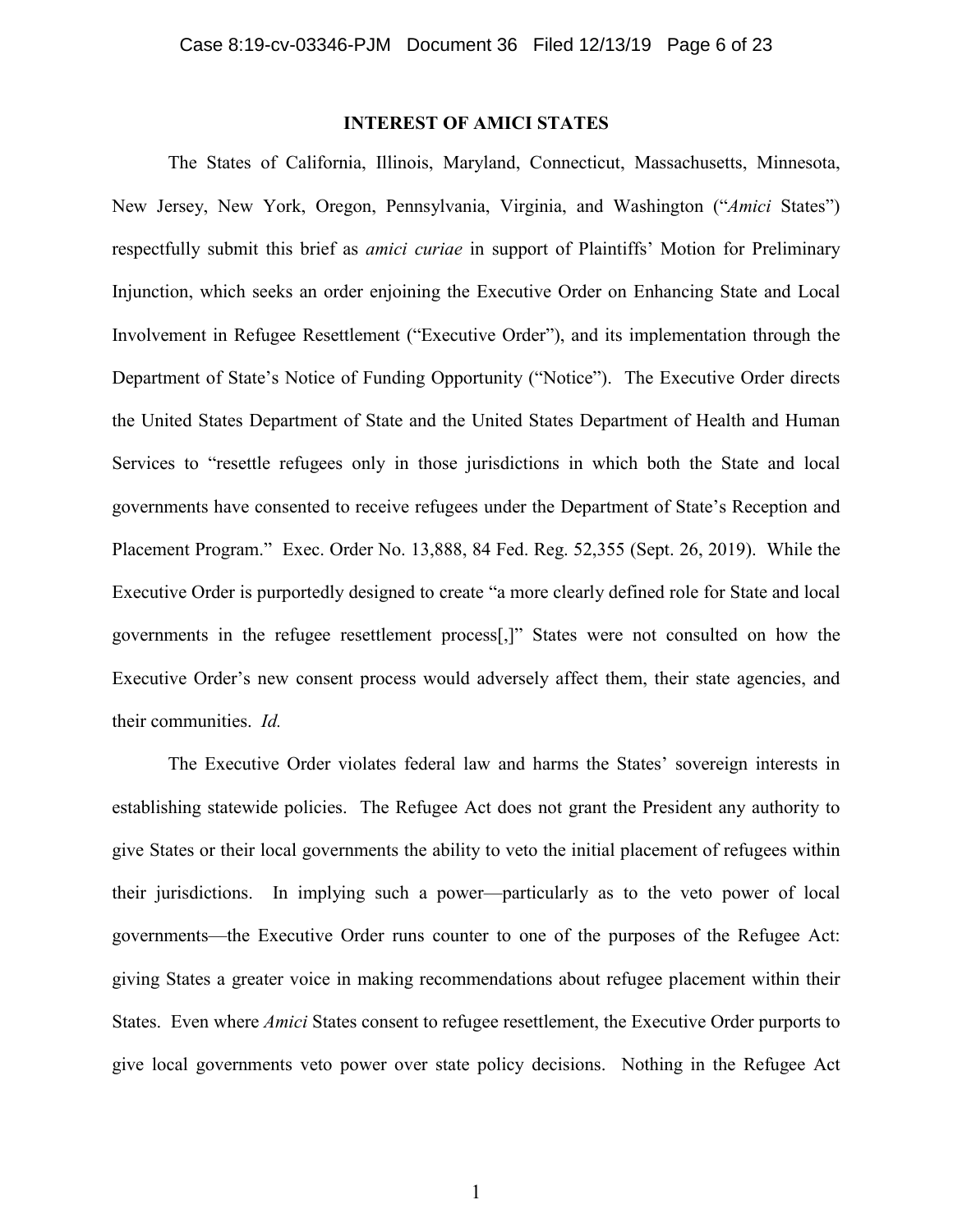## **INTEREST OF AMICI STATES**

The States of California, Illinois, Maryland, Connecticut, Massachusetts, Minnesota, New Jersey, New York, Oregon, Pennsylvania, Virginia, and Washington ("*Amici* States") respectfully submit this brief as *amici curiae* in support of Plaintiffs' Motion for Preliminary Injunction, which seeks an order enjoining the Executive Order on Enhancing State and Local Involvement in Refugee Resettlement ("Executive Order"), and its implementation through the Department of State's Notice of Funding Opportunity ("Notice"). The Executive Order directs the United States Department of State and the United States Department of Health and Human Services to "resettle refugees only in those jurisdictions in which both the State and local governments have consented to receive refugees under the Department of State's Reception and Placement Program." Exec. Order No. 13,888, 84 Fed. Reg. 52,355 (Sept. 26, 2019). While the Executive Order is purportedly designed to create "a more clearly defined role for State and local governments in the refugee resettlement process[,]" States were not consulted on how the Executive Order's new consent process would adversely affect them, their state agencies, and their communities. *Id.*

The Executive Order violates federal law and harms the States' sovereign interests in establishing statewide policies. The Refugee Act does not grant the President any authority to give States or their local governments the ability to veto the initial placement of refugees within their jurisdictions. In implying such a power—particularly as to the veto power of local governments—the Executive Order runs counter to one of the purposes of the Refugee Act: giving States a greater voice in making recommendations about refugee placement within their States. Even where *Amici* States consent to refugee resettlement, the Executive Order purports to give local governments veto power over state policy decisions. Nothing in the Refugee Act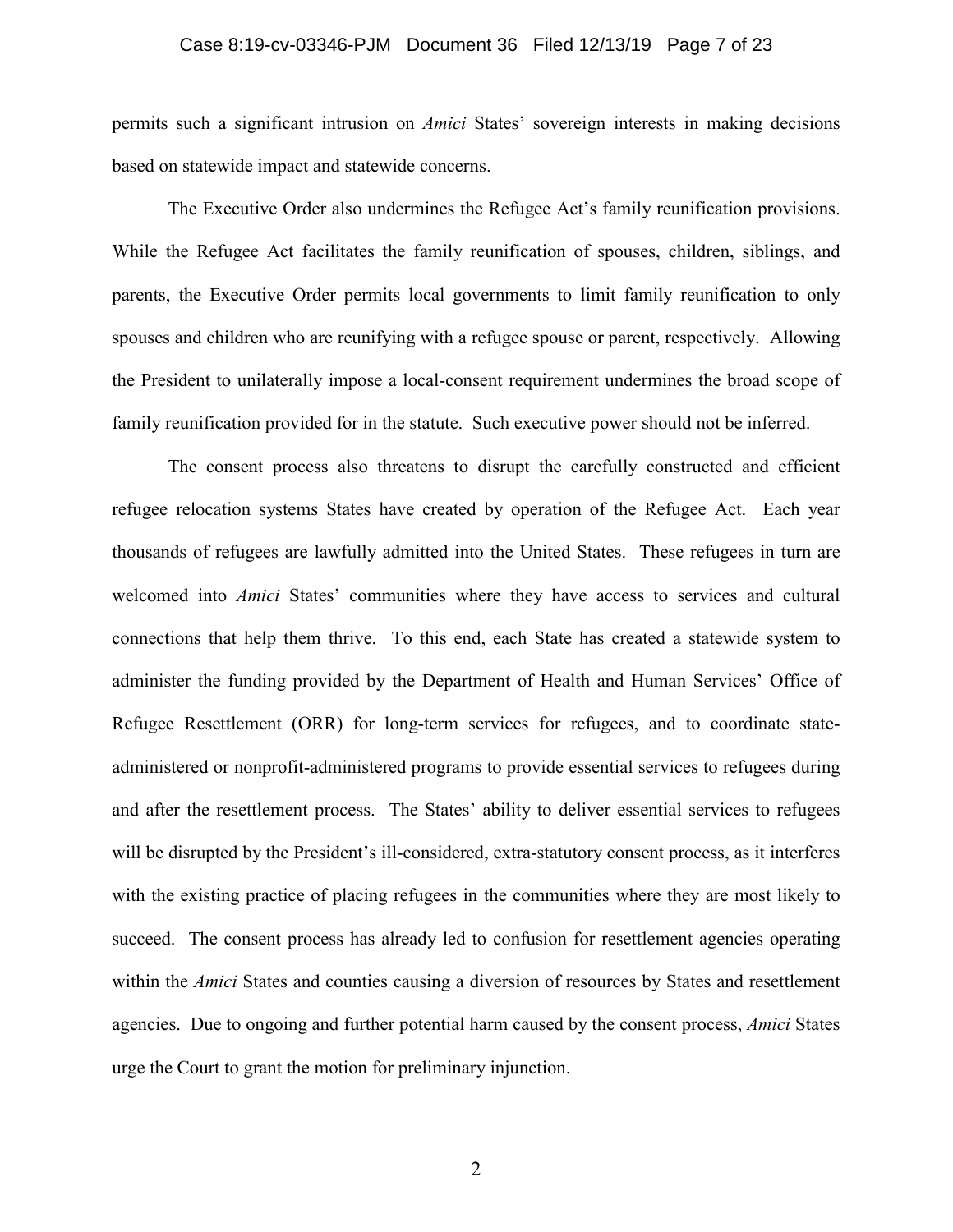#### Case 8:19-cv-03346-PJM Document 36 Filed 12/13/19 Page 7 of 23

permits such a significant intrusion on *Amici* States' sovereign interests in making decisions based on statewide impact and statewide concerns.

The Executive Order also undermines the Refugee Act's family reunification provisions. While the Refugee Act facilitates the family reunification of spouses, children, siblings, and parents, the Executive Order permits local governments to limit family reunification to only spouses and children who are reunifying with a refugee spouse or parent, respectively. Allowing the President to unilaterally impose a local-consent requirement undermines the broad scope of family reunification provided for in the statute. Such executive power should not be inferred.

The consent process also threatens to disrupt the carefully constructed and efficient refugee relocation systems States have created by operation of the Refugee Act. Each year thousands of refugees are lawfully admitted into the United States. These refugees in turn are welcomed into *Amici* States' communities where they have access to services and cultural connections that help them thrive. To this end, each State has created a statewide system to administer the funding provided by the Department of Health and Human Services' Office of Refugee Resettlement (ORR) for long-term services for refugees, and to coordinate stateadministered or nonprofit-administered programs to provide essential services to refugees during and after the resettlement process. The States' ability to deliver essential services to refugees will be disrupted by the President's ill-considered, extra-statutory consent process, as it interferes with the existing practice of placing refugees in the communities where they are most likely to succeed. The consent process has already led to confusion for resettlement agencies operating within the *Amici* States and counties causing a diversion of resources by States and resettlement agencies. Due to ongoing and further potential harm caused by the consent process, *Amici* States urge the Court to grant the motion for preliminary injunction.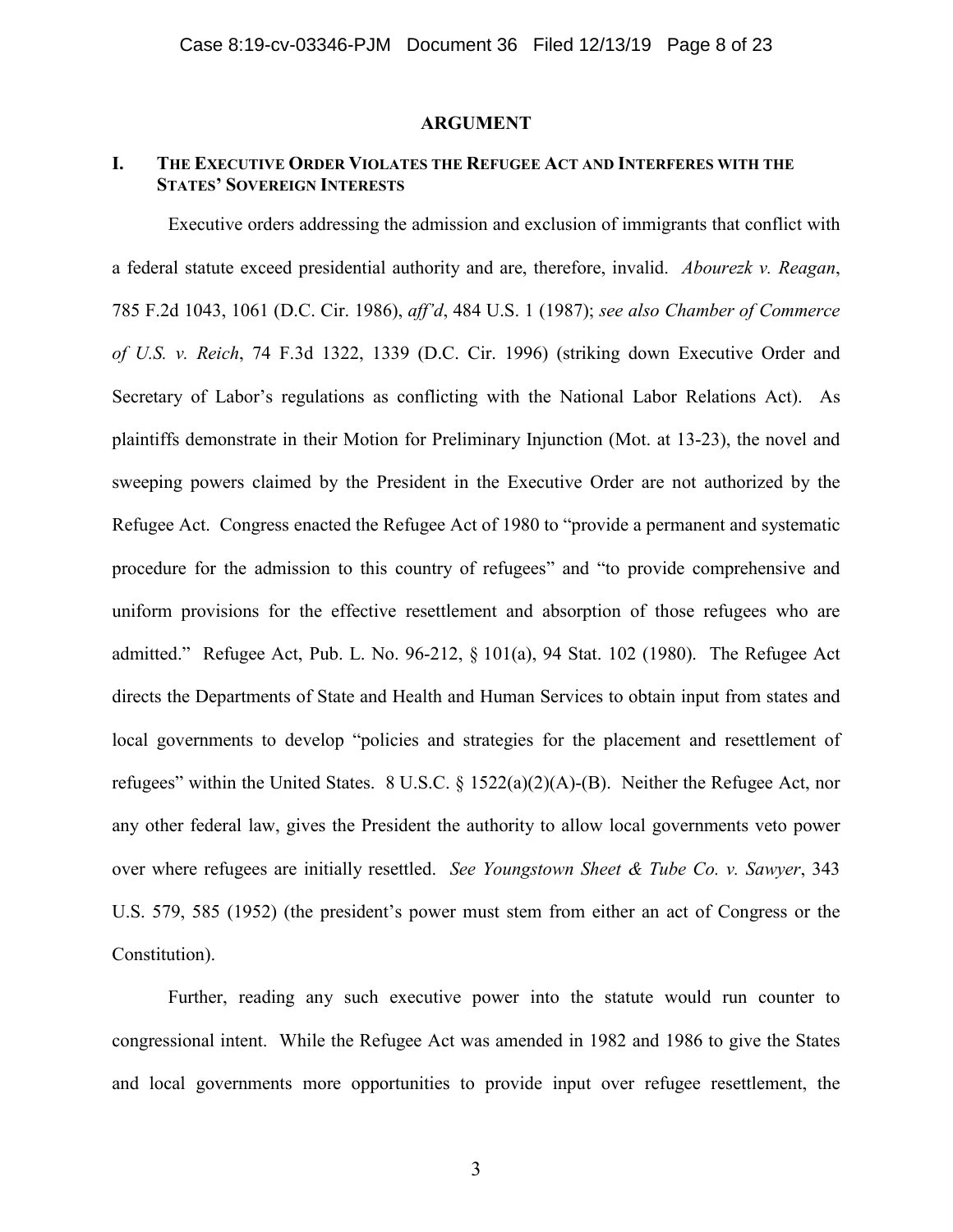#### **ARGUMENT**

## **I. THE EXECUTIVE ORDER VIOLATES THE REFUGEE ACT AND INTERFERES WITH THE STATES' SOVEREIGN INTERESTS**

Executive orders addressing the admission and exclusion of immigrants that conflict with a federal statute exceed presidential authority and are, therefore, invalid. *Abourezk v. Reagan*, 785 F.2d 1043, 1061 (D.C. Cir. 1986), *aff'd*, 484 U.S. 1 (1987); *see also Chamber of Commerce of U.S. v. Reich*, 74 F.3d 1322, 1339 (D.C. Cir. 1996) (striking down Executive Order and Secretary of Labor's regulations as conflicting with the National Labor Relations Act). As plaintiffs demonstrate in their Motion for Preliminary Injunction (Mot. at 13-23), the novel and sweeping powers claimed by the President in the Executive Order are not authorized by the Refugee Act. Congress enacted the Refugee Act of 1980 to "provide a permanent and systematic procedure for the admission to this country of refugees" and "to provide comprehensive and uniform provisions for the effective resettlement and absorption of those refugees who are admitted." Refugee Act, Pub. L. No. 96-212, § 101(a), 94 Stat. 102 (1980). The Refugee Act directs the Departments of State and Health and Human Services to obtain input from states and local governments to develop "policies and strategies for the placement and resettlement of refugees" within the United States. 8 U.S.C. § 1522(a)(2)(A)-(B). Neither the Refugee Act, nor any other federal law, gives the President the authority to allow local governments veto power over where refugees are initially resettled. *See Youngstown Sheet & Tube Co. v. Sawyer*, 343 U.S. 579, 585 (1952) (the president's power must stem from either an act of Congress or the Constitution).

Further, reading any such executive power into the statute would run counter to congressional intent. While the Refugee Act was amended in 1982 and 1986 to give the States and local governments more opportunities to provide input over refugee resettlement, the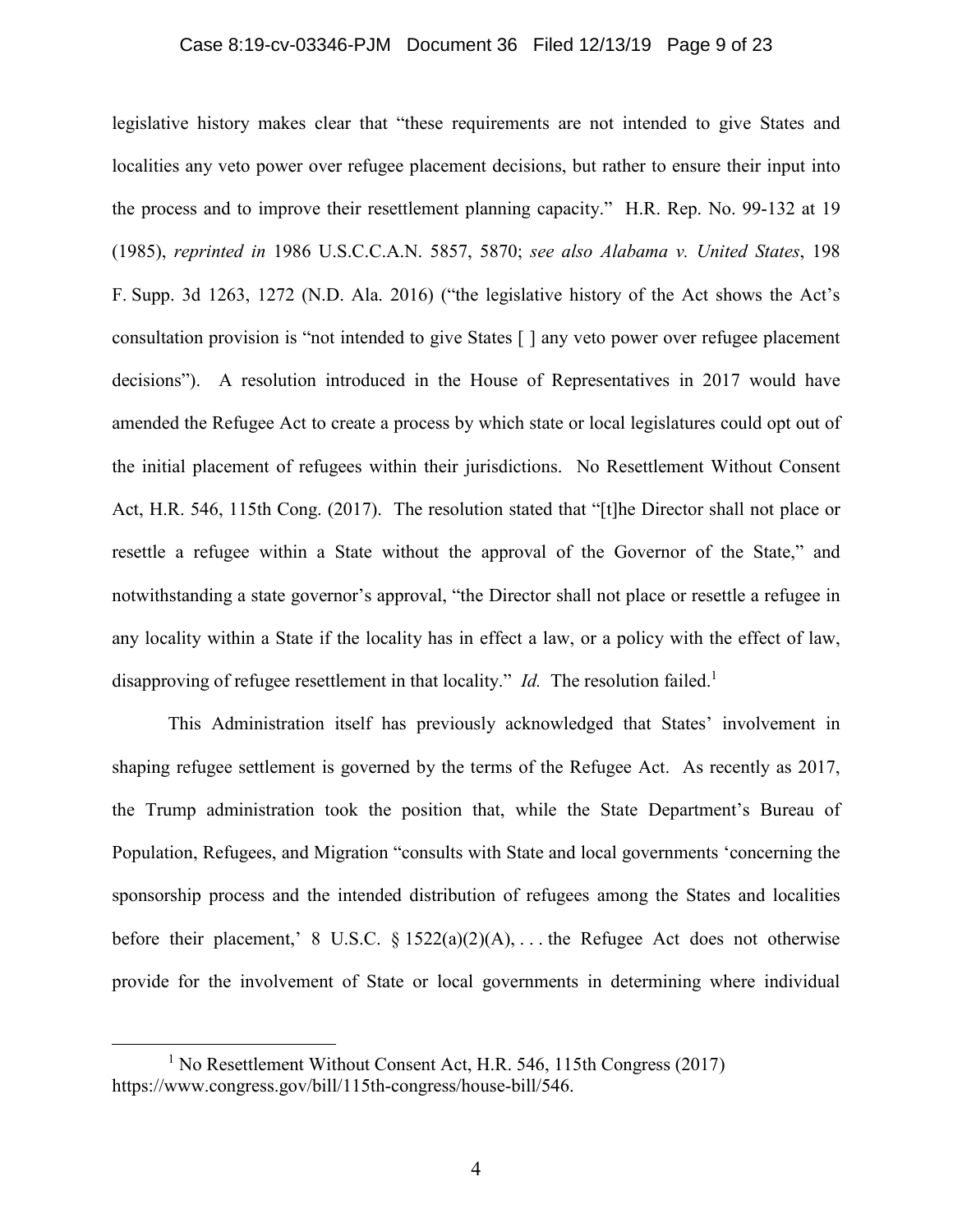### Case 8:19-cv-03346-PJM Document 36 Filed 12/13/19 Page 9 of 23

legislative history makes clear that "these requirements are not intended to give States and localities any veto power over refugee placement decisions, but rather to ensure their input into the process and to improve their resettlement planning capacity." H.R. Rep. No. 99-132 at 19 (1985), *reprinted in* 1986 U.S.C.C.A.N. 5857, 5870; *see also Alabama v. United States*, 198 F. Supp. 3d 1263, 1272 (N.D. Ala. 2016) ("the legislative history of the Act shows the Act's consultation provision is "not intended to give States [ ] any veto power over refugee placement decisions"). A resolution introduced in the House of Representatives in 2017 would have amended the Refugee Act to create a process by which state or local legislatures could opt out of the initial placement of refugees within their jurisdictions. No Resettlement Without Consent Act, H.R. 546, 115th Cong. (2017). The resolution stated that "[t]he Director shall not place or resettle a refugee within a State without the approval of the Governor of the State," and notwithstanding a state governor's approval, "the Director shall not place or resettle a refugee in any locality within a State if the locality has in effect a law, or a policy with the effect of law, disapproving of refugee resettlement in that locality." *Id.* The resolution failed.<sup>1</sup>

This Administration itself has previously acknowledged that States' involvement in shaping refugee settlement is governed by the terms of the Refugee Act. As recently as 2017, the Trump administration took the position that, while the State Department's Bureau of Population, Refugees, and Migration "consults with State and local governments 'concerning the sponsorship process and the intended distribution of refugees among the States and localities before their placement,' 8 U.S.C.  $\S 1522(a)(2)(A)$ , ... the Refugee Act does not otherwise provide for the involvement of State or local governments in determining where individual

<sup>&</sup>lt;sup>1</sup> No Resettlement Without Consent Act, H.R. 546, 115th Congress (2017) https://www.congress.gov/bill/115th-congress/house-bill/546.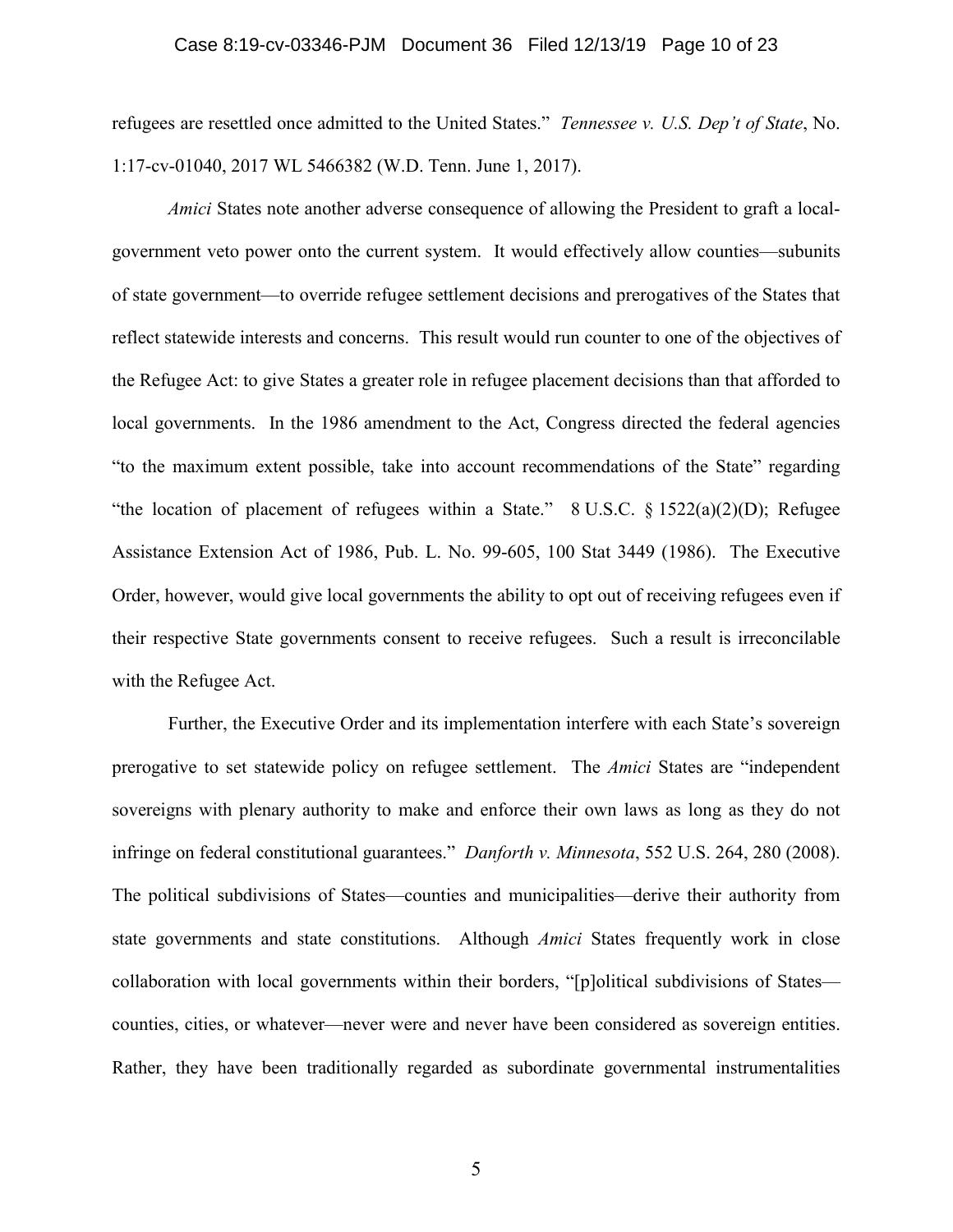### Case 8:19-cv-03346-PJM Document 36 Filed 12/13/19 Page 10 of 23

refugees are resettled once admitted to the United States." *Tennessee v. U.S. Dep't of State*, No. 1:17-cv-01040, 2017 WL 5466382 (W.D. Tenn. June 1, 2017).

*Amici* States note another adverse consequence of allowing the President to graft a localgovernment veto power onto the current system. It would effectively allow counties—subunits of state government—to override refugee settlement decisions and prerogatives of the States that reflect statewide interests and concerns. This result would run counter to one of the objectives of the Refugee Act: to give States a greater role in refugee placement decisions than that afforded to local governments. In the 1986 amendment to the Act, Congress directed the federal agencies "to the maximum extent possible, take into account recommendations of the State" regarding "the location of placement of refugees within a State."  $8 \text{ U.S.C. } § 1522(a)(2)(D)$ ; Refugee Assistance Extension Act of 1986, Pub. L. No. 99-605, 100 Stat 3449 (1986). The Executive Order, however, would give local governments the ability to opt out of receiving refugees even if their respective State governments consent to receive refugees. Such a result is irreconcilable with the Refugee Act.

Further, the Executive Order and its implementation interfere with each State's sovereign prerogative to set statewide policy on refugee settlement. The *Amici* States are "independent sovereigns with plenary authority to make and enforce their own laws as long as they do not infringe on federal constitutional guarantees." *Danforth v. Minnesota*, 552 U.S. 264, 280 (2008). The political subdivisions of States—counties and municipalities—derive their authority from state governments and state constitutions. Although *Amici* States frequently work in close collaboration with local governments within their borders, "[p]olitical subdivisions of States counties, cities, or whatever—never were and never have been considered as sovereign entities. Rather, they have been traditionally regarded as subordinate governmental instrumentalities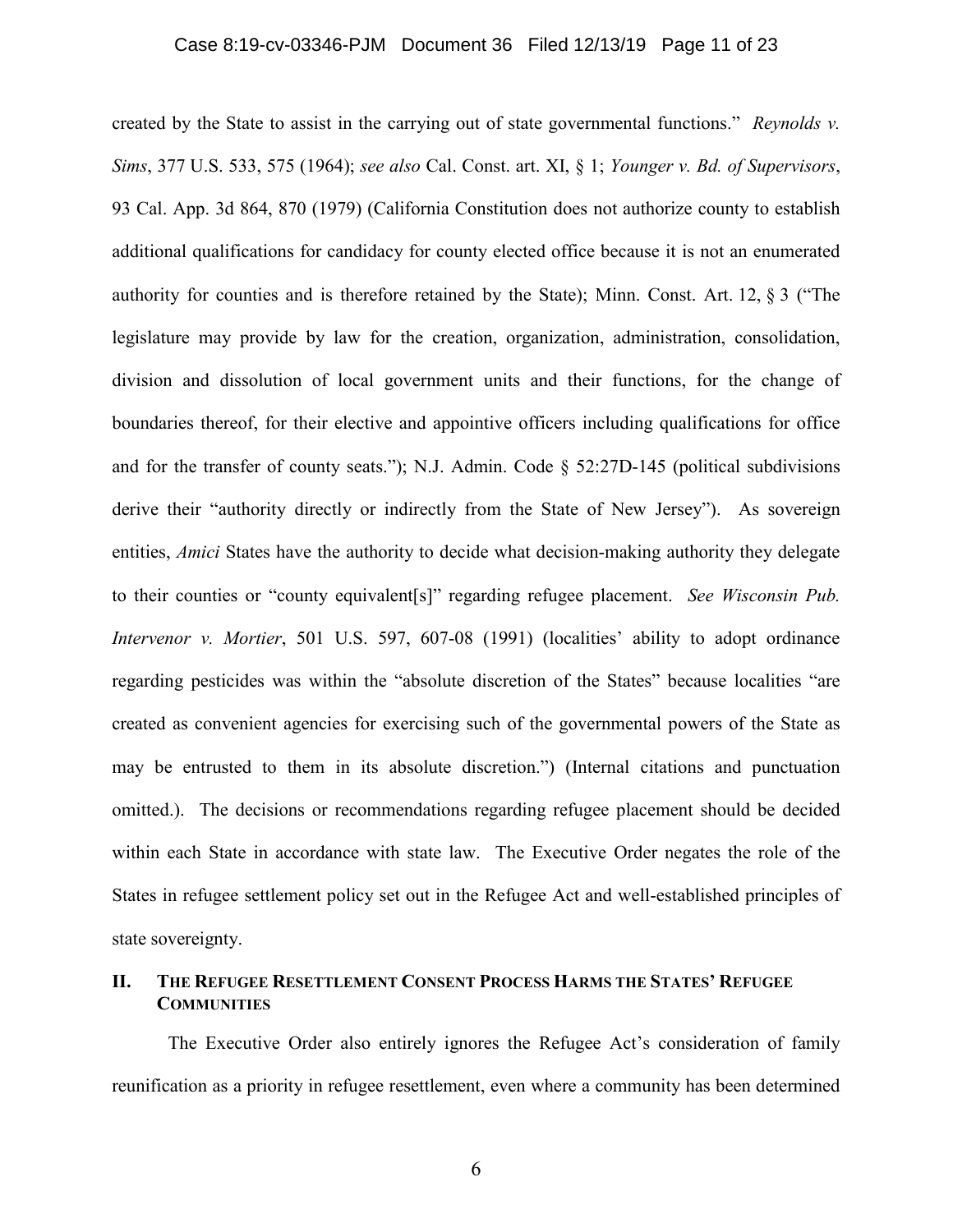### Case 8:19-cv-03346-PJM Document 36 Filed 12/13/19 Page 11 of 23

created by the State to assist in the carrying out of state governmental functions." *Reynolds v. Sims*, 377 U.S. 533, 575 (1964); *see also* Cal. Const. art. XI, § 1; *Younger v. Bd. of Supervisors*, 93 Cal. App. 3d 864, 870 (1979) (California Constitution does not authorize county to establish additional qualifications for candidacy for county elected office because it is not an enumerated authority for counties and is therefore retained by the State); Minn. Const. Art. 12, § 3 ("The legislature may provide by law for the creation, organization, administration, consolidation, division and dissolution of local government units and their functions, for the change of boundaries thereof, for their elective and appointive officers including qualifications for office and for the transfer of county seats."); N.J. Admin. Code § 52:27D-145 (political subdivisions derive their "authority directly or indirectly from the State of New Jersey"). As sovereign entities, *Amici* States have the authority to decide what decision-making authority they delegate to their counties or "county equivalent[s]" regarding refugee placement. *See Wisconsin Pub. Intervenor v. Mortier*, 501 U.S. 597, 607-08 (1991) (localities' ability to adopt ordinance regarding pesticides was within the "absolute discretion of the States" because localities "are created as convenient agencies for exercising such of the governmental powers of the State as may be entrusted to them in its absolute discretion.") (Internal citations and punctuation omitted.). The decisions or recommendations regarding refugee placement should be decided within each State in accordance with state law. The Executive Order negates the role of the States in refugee settlement policy set out in the Refugee Act and well-established principles of state sovereignty.

### **II. THE REFUGEE RESETTLEMENT CONSENT PROCESS HARMS THE STATES' REFUGEE COMMUNITIES**

The Executive Order also entirely ignores the Refugee Act's consideration of family reunification as a priority in refugee resettlement, even where a community has been determined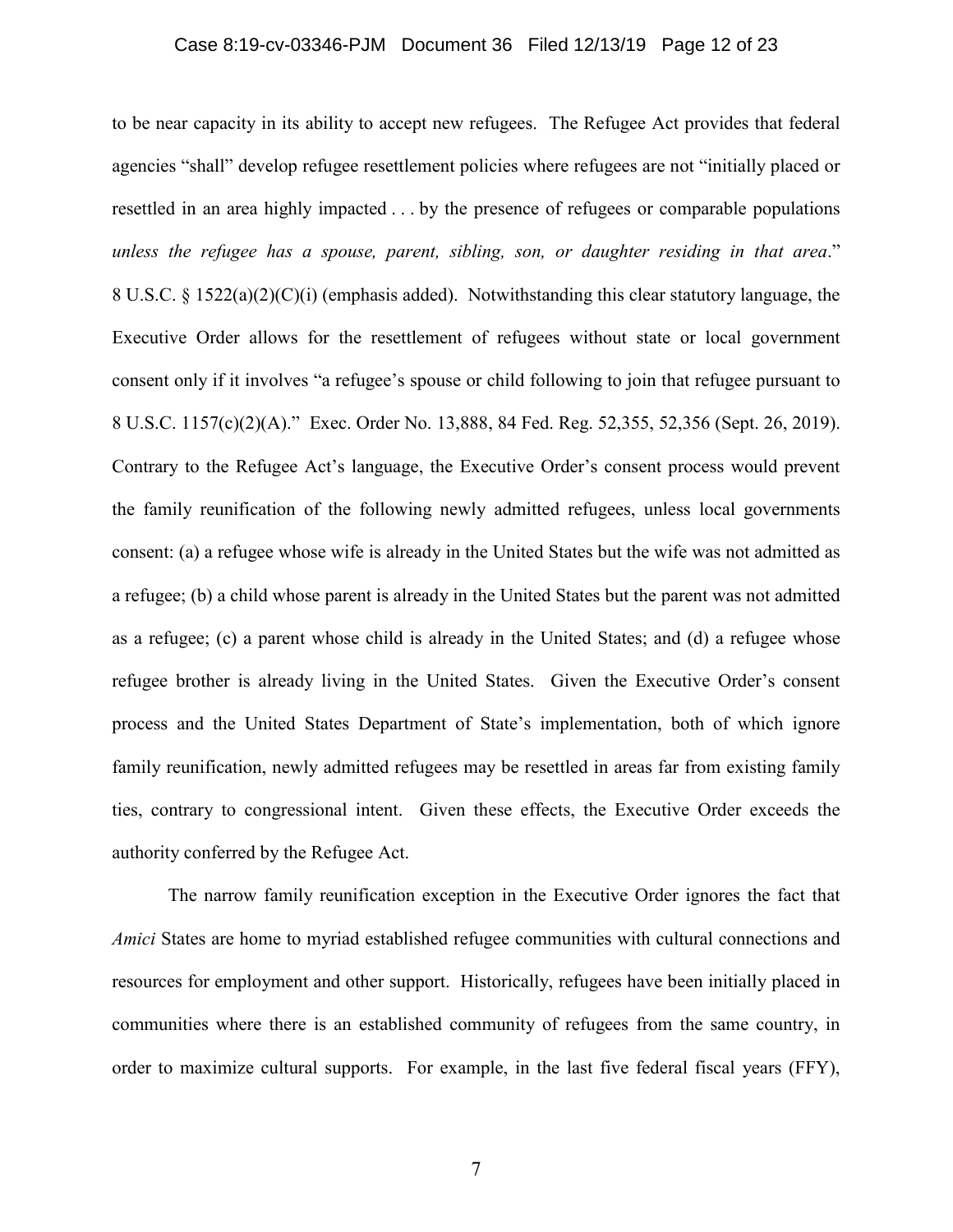### Case 8:19-cv-03346-PJM Document 36 Filed 12/13/19 Page 12 of 23

to be near capacity in its ability to accept new refugees. The Refugee Act provides that federal agencies "shall" develop refugee resettlement policies where refugees are not "initially placed or resettled in an area highly impacted . . . by the presence of refugees or comparable populations *unless the refugee has a spouse, parent, sibling, son, or daughter residing in that area*." 8 U.S.C. § 1522(a)(2)(C)(i) (emphasis added). Notwithstanding this clear statutory language, the Executive Order allows for the resettlement of refugees without state or local government consent only if it involves "a refugee's spouse or child following to join that refugee pursuant to 8 U.S.C. 1157(c)(2)(A)." Exec. Order No. 13,888, 84 Fed. Reg. 52,355, 52,356 (Sept. 26, 2019). Contrary to the Refugee Act's language, the Executive Order's consent process would prevent the family reunification of the following newly admitted refugees, unless local governments consent: (a) a refugee whose wife is already in the United States but the wife was not admitted as a refugee; (b) a child whose parent is already in the United States but the parent was not admitted as a refugee; (c) a parent whose child is already in the United States; and (d) a refugee whose refugee brother is already living in the United States. Given the Executive Order's consent process and the United States Department of State's implementation, both of which ignore family reunification, newly admitted refugees may be resettled in areas far from existing family ties, contrary to congressional intent. Given these effects, the Executive Order exceeds the authority conferred by the Refugee Act.

The narrow family reunification exception in the Executive Order ignores the fact that *Amici* States are home to myriad established refugee communities with cultural connections and resources for employment and other support. Historically, refugees have been initially placed in communities where there is an established community of refugees from the same country, in order to maximize cultural supports. For example, in the last five federal fiscal years (FFY),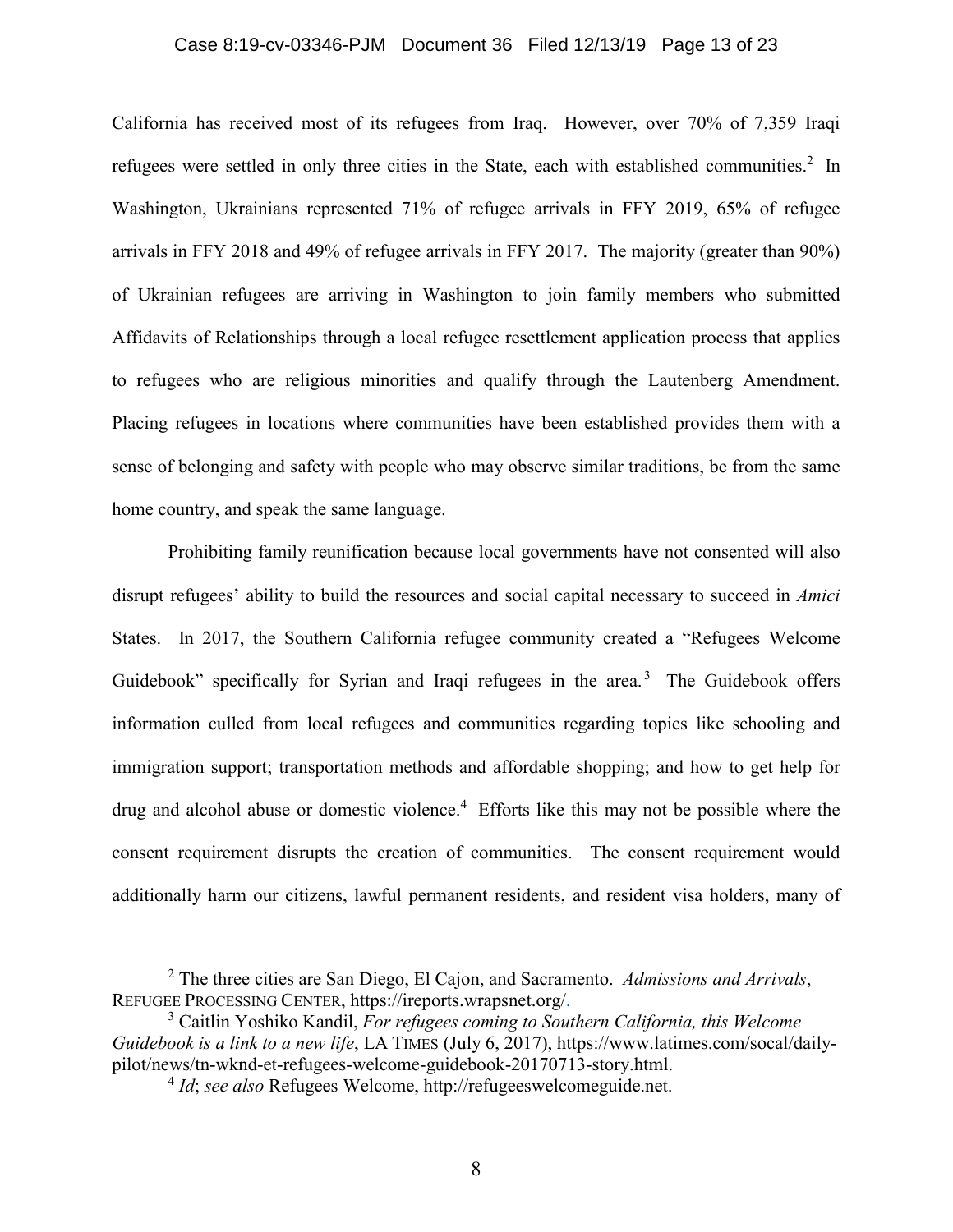#### Case 8:19-cv-03346-PJM Document 36 Filed 12/13/19 Page 13 of 23

California has received most of its refugees from Iraq. However, over 70% of 7,359 Iraqi refugees were settled in only three cities in the State, each with established communities.<sup>2</sup> In Washington, Ukrainians represented 71% of refugee arrivals in FFY 2019, 65% of refugee arrivals in FFY 2018 and 49% of refugee arrivals in FFY 2017. The majority (greater than 90%) of Ukrainian refugees are arriving in Washington to join family members who submitted Affidavits of Relationships through a local refugee resettlement application process that applies to refugees who are religious minorities and qualify through the Lautenberg Amendment. Placing refugees in locations where communities have been established provides them with a sense of belonging and safety with people who may observe similar traditions, be from the same home country, and speak the same language.

Prohibiting family reunification because local governments have not consented will also disrupt refugees' ability to build the resources and social capital necessary to succeed in *Amici* States. In 2017, the Southern California refugee community created a "Refugees Welcome Guidebook" specifically for Syrian and Iraqi refugees in the area.<sup>3</sup> The Guidebook offers information culled from local refugees and communities regarding topics like schooling and immigration support; transportation methods and affordable shopping; and how to get help for drug and alcohol abuse or domestic violence.<sup>4</sup> Efforts like this may not be possible where the consent requirement disrupts the creation of communities. The consent requirement would additionally harm our citizens, lawful permanent residents, and resident visa holders, many of

 <sup>2</sup> The three cities are San Diego, El Cajon, and Sacramento. *Admissions and Arrivals*, REFUGEE PROCESSING CENTER, https://ireports.wrapsnet.org/.

<sup>3</sup> Caitlin Yoshiko Kandil, *For refugees coming to Southern California, this Welcome Guidebook is a link to a new life*, LA TIMES (July 6, 2017), https://www.latimes.com/socal/dailypilot/news/tn-wknd-et-refugees-welcome-guidebook-20170713-story.html. 4 *Id*; *see also* Refugees Welcome, http://refugeeswelcomeguide.net.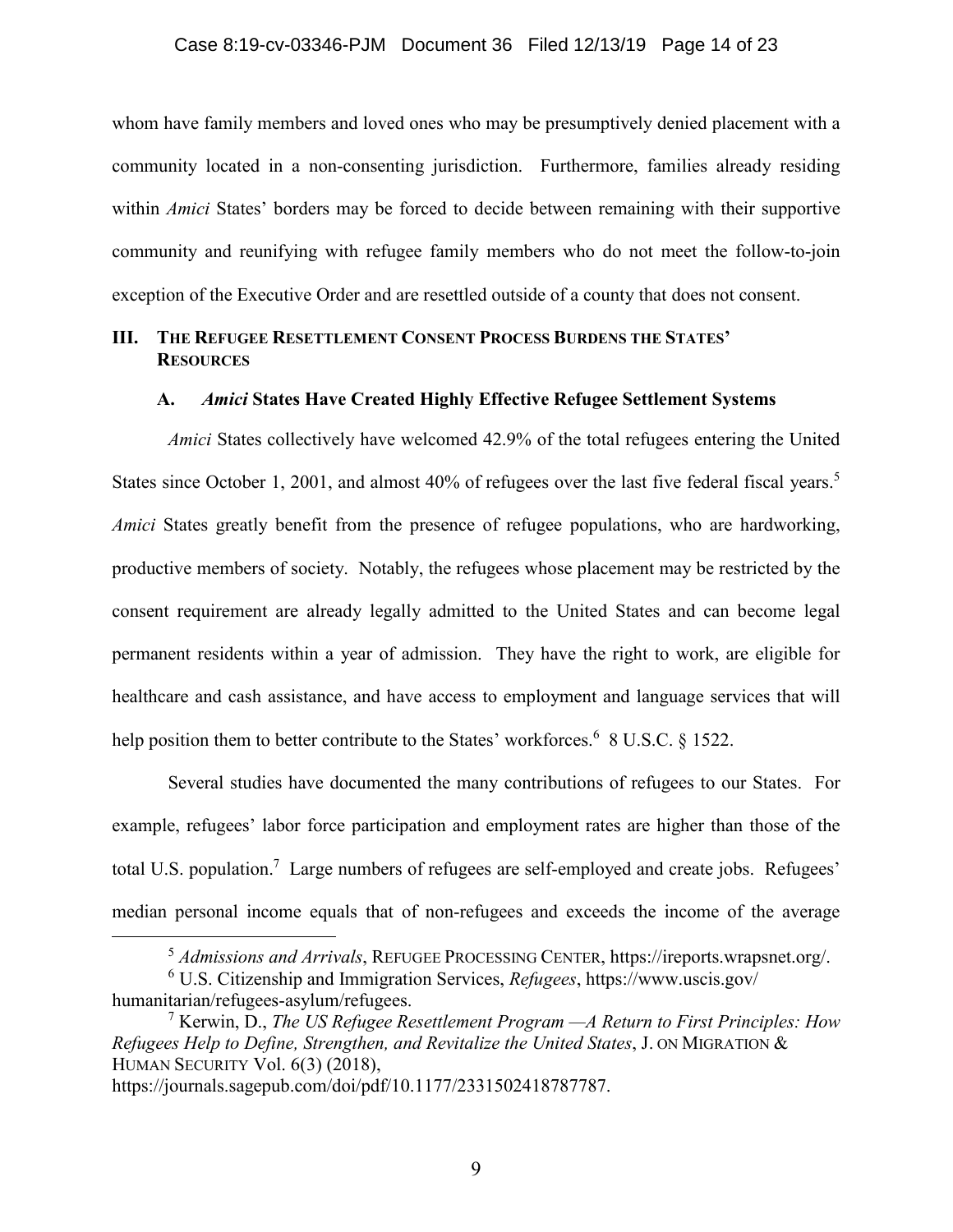whom have family members and loved ones who may be presumptively denied placement with a community located in a non-consenting jurisdiction. Furthermore, families already residing within *Amici* States' borders may be forced to decide between remaining with their supportive community and reunifying with refugee family members who do not meet the follow-to-join exception of the Executive Order and are resettled outside of a county that does not consent.

## **III. THE REFUGEE RESETTLEMENT CONSENT PROCESS BURDENS THE STATES' RESOURCES**

### **A.** *Amici* **States Have Created Highly Effective Refugee Settlement Systems**

*Amici* States collectively have welcomed 42.9% of the total refugees entering the United States since October 1, 2001, and almost 40% of refugees over the last five federal fiscal years.<sup>5</sup> *Amici* States greatly benefit from the presence of refugee populations, who are hardworking, productive members of society. Notably, the refugees whose placement may be restricted by the consent requirement are already legally admitted to the United States and can become legal permanent residents within a year of admission. They have the right to work, are eligible for healthcare and cash assistance, and have access to employment and language services that will help position them to better contribute to the States' workforces.<sup>6</sup> 8 U.S.C. § 1522.

Several studies have documented the many contributions of refugees to our States. For example, refugees' labor force participation and employment rates are higher than those of the total U.S. population.<sup>7</sup> Large numbers of refugees are self-employed and create jobs. Refugees' median personal income equals that of non-refugees and exceeds the income of the average

 <sup>5</sup> *Admissions and Arrivals*, REFUGEE PROCESSING CENTER, https://ireports.wrapsnet.org/.

<sup>6</sup> U.S. Citizenship and Immigration Services, *Refugees*, https://www.uscis.gov/

humanitarian/refugees-asylum/refugees. 7 Kerwin, D., *The US Refugee Resettlement Program —A Return to First Principles: How Refugees Help to Define, Strengthen, and Revitalize the United States*, J. ON MIGRATION & HUMAN SECURITY Vol. 6(3) (2018),

https://journals.sagepub.com/doi/pdf/10.1177/2331502418787787.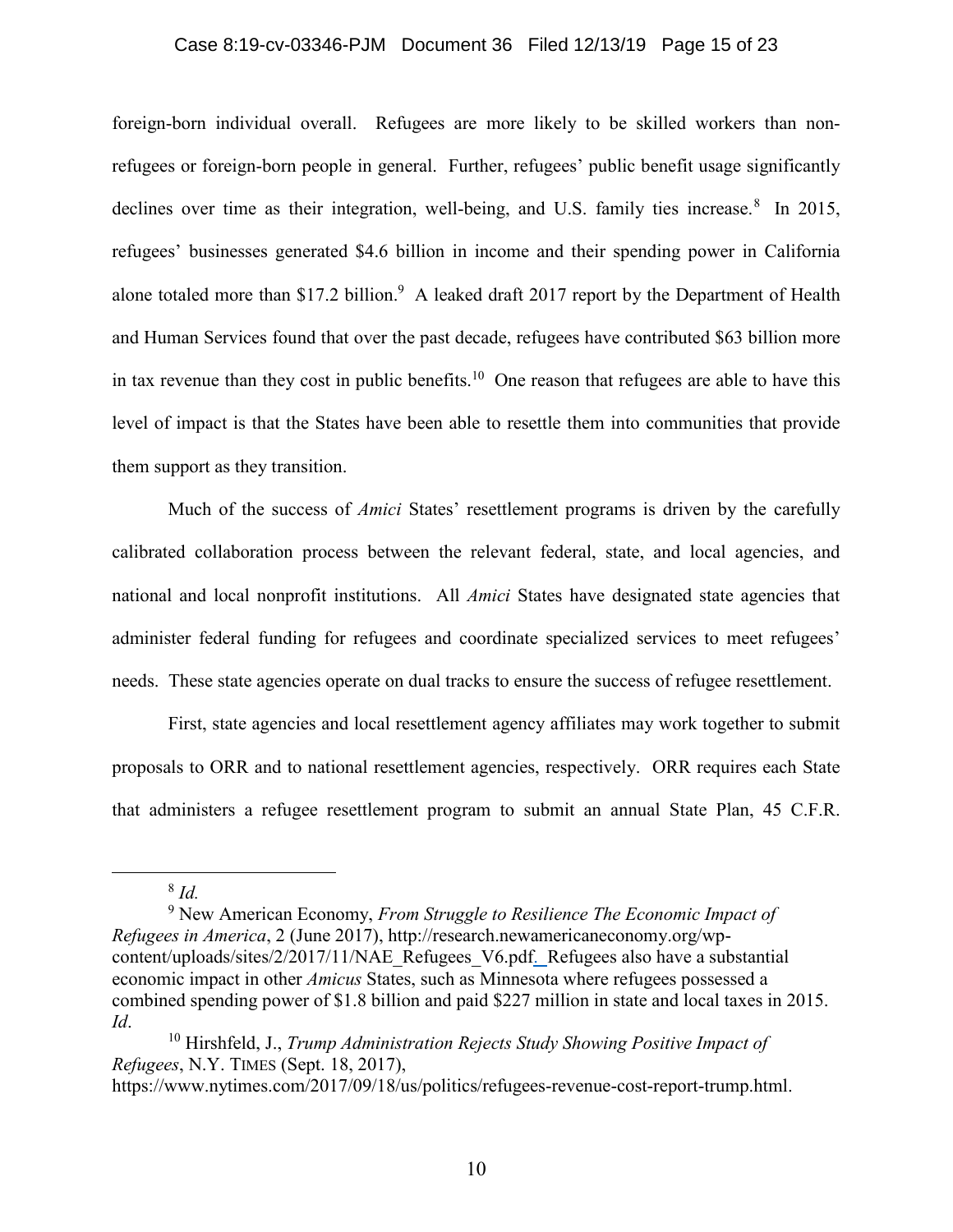#### Case 8:19-cv-03346-PJM Document 36 Filed 12/13/19 Page 15 of 23

foreign-born individual overall. Refugees are more likely to be skilled workers than nonrefugees or foreign-born people in general. Further, refugees' public benefit usage significantly declines over time as their integration, well-being, and U.S. family ties increase.<sup>8</sup> In 2015, refugees' businesses generated \$4.6 billion in income and their spending power in California alone totaled more than \$17.2 billion.<sup>9</sup> A leaked draft 2017 report by the Department of Health and Human Services found that over the past decade, refugees have contributed \$63 billion more in tax revenue than they cost in public benefits.<sup>10</sup> One reason that refugees are able to have this level of impact is that the States have been able to resettle them into communities that provide them support as they transition.

Much of the success of *Amici* States' resettlement programs is driven by the carefully calibrated collaboration process between the relevant federal, state, and local agencies, and national and local nonprofit institutions. All *Amici* States have designated state agencies that administer federal funding for refugees and coordinate specialized services to meet refugees' needs. These state agencies operate on dual tracks to ensure the success of refugee resettlement.

First, state agencies and local resettlement agency affiliates may work together to submit proposals to ORR and to national resettlement agencies, respectively. ORR requires each State that administers a refugee resettlement program to submit an annual State Plan, 45 C.F.R.

8 *Id.*

<sup>9</sup> New American Economy, *From Struggle to Resilience The Economic Impact of Refugees in America*, 2 (June 2017), http://research.newamericaneconomy.org/wpcontent/uploads/sites/2/2017/11/NAE\_Refugees\_V6.pdf. Refugees also have a substantial economic impact in other *Amicus* States, such as Minnesota where refugees possessed a combined spending power of \$1.8 billion and paid \$227 million in state and local taxes in 2015. *Id*. 10 Hirshfeld, J., *Trump Administration Rejects Study Showing Positive Impact of* 

*Refugees*, N.Y. TIMES (Sept. 18, 2017),

https://www.nytimes.com/2017/09/18/us/politics/refugees-revenue-cost-report-trump.html.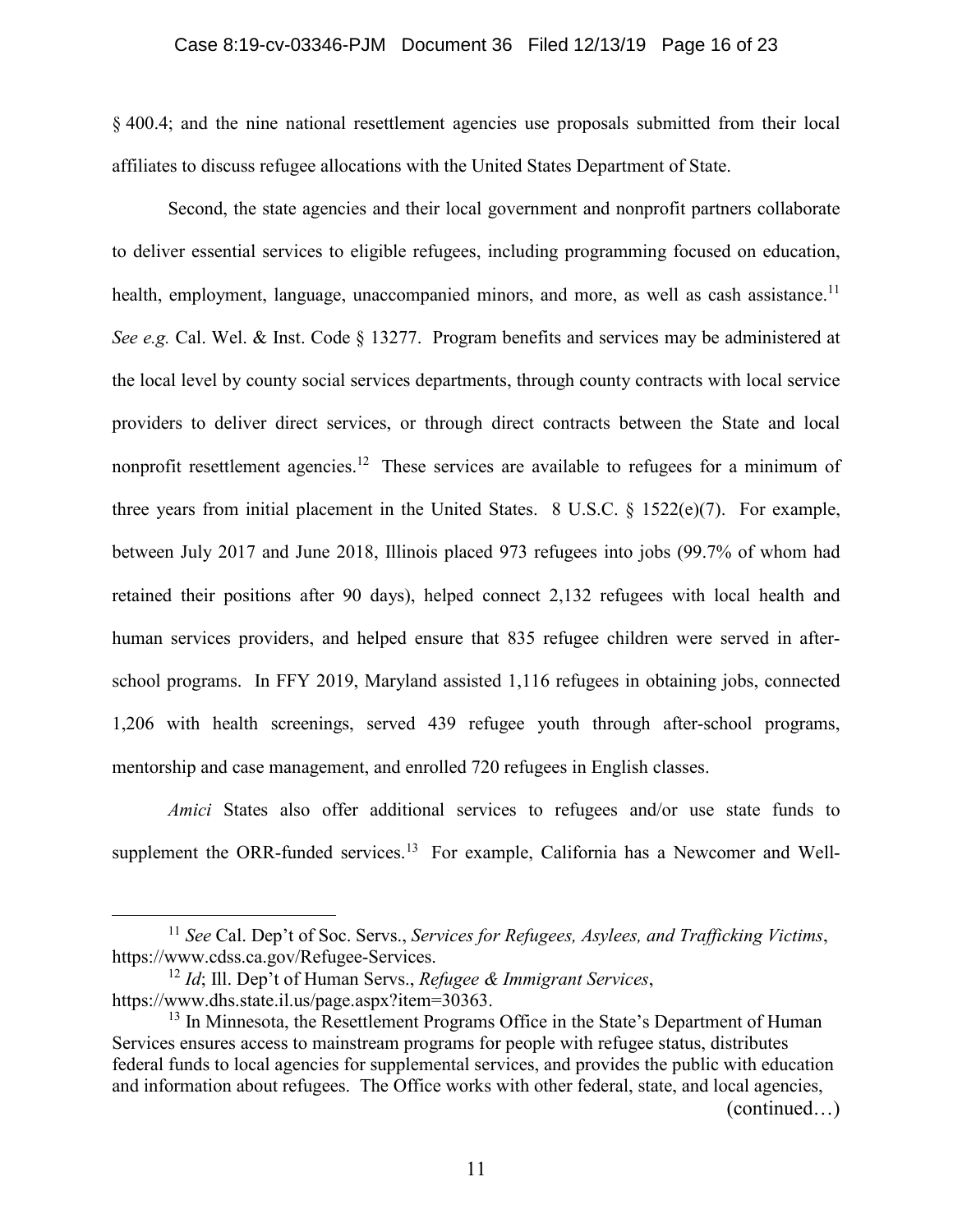#### Case 8:19-cv-03346-PJM Document 36 Filed 12/13/19 Page 16 of 23

§ 400.4; and the nine national resettlement agencies use proposals submitted from their local affiliates to discuss refugee allocations with the United States Department of State.

Second, the state agencies and their local government and nonprofit partners collaborate to deliver essential services to eligible refugees, including programming focused on education, health, employment, language, unaccompanied minors, and more, as well as cash assistance.<sup>11</sup> *See e.g.* Cal. Wel. & Inst. Code § 13277. Program benefits and services may be administered at the local level by county social services departments, through county contracts with local service providers to deliver direct services, or through direct contracts between the State and local nonprofit resettlement agencies.<sup>12</sup> These services are available to refugees for a minimum of three years from initial placement in the United States. 8 U.S.C. § 1522(e)(7). For example, between July 2017 and June 2018, Illinois placed 973 refugees into jobs (99.7% of whom had retained their positions after 90 days), helped connect 2,132 refugees with local health and human services providers, and helped ensure that 835 refugee children were served in afterschool programs. In FFY 2019, Maryland assisted 1,116 refugees in obtaining jobs, connected 1,206 with health screenings, served 439 refugee youth through after-school programs, mentorship and case management, and enrolled 720 refugees in English classes.

*Amici* States also offer additional services to refugees and/or use state funds to supplement the ORR-funded services.<sup>13</sup> For example, California has a Newcomer and Well-

(continued…)

 <sup>11</sup> *See* Cal. Dep't of Soc. Servs., *Services for Refugees, Asylees, and Trafficking Victims*, https://www.cdss.ca.gov/Refugee-Services.

<sup>12</sup> *Id*; Ill. Dep't of Human Servs., *Refugee & Immigrant Services*, https://www.dhs.state.il.us/page.aspx?item=30363.<br><sup>13</sup> In Minnesota, the Resettlement Programs Office in the State's Department of Human

Services ensures access to mainstream programs for people with refugee status, distributes federal funds to local agencies for supplemental services, and provides the public with education and information about refugees. The Office works with other federal, state, and local agencies,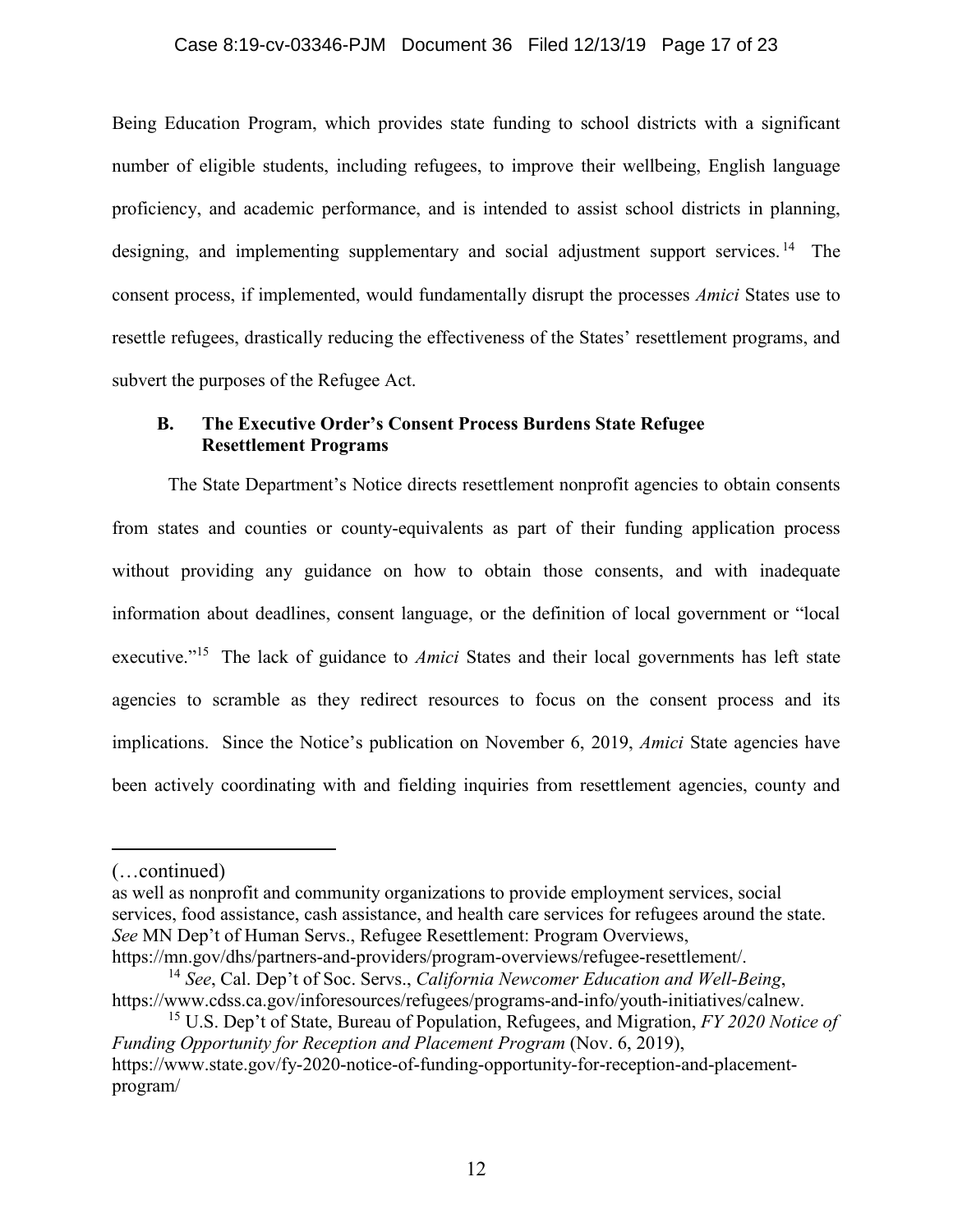#### Case 8:19-cv-03346-PJM Document 36 Filed 12/13/19 Page 17 of 23

Being Education Program, which provides state funding to school districts with a significant number of eligible students, including refugees, to improve their wellbeing, English language proficiency, and academic performance, and is intended to assist school districts in planning, designing, and implementing supplementary and social adjustment support services.<sup>14</sup> The consent process, if implemented, would fundamentally disrupt the processes *Amici* States use to resettle refugees, drastically reducing the effectiveness of the States' resettlement programs, and subvert the purposes of the Refugee Act.

## **B. The Executive Order's Consent Process Burdens State Refugee Resettlement Programs**

The State Department's Notice directs resettlement nonprofit agencies to obtain consents from states and counties or county-equivalents as part of their funding application process without providing any guidance on how to obtain those consents, and with inadequate information about deadlines, consent language, or the definition of local government or "local executive."<sup>15</sup> The lack of guidance to *Amici* States and their local governments has left state agencies to scramble as they redirect resources to focus on the consent process and its implications. Since the Notice's publication on November 6, 2019, *Amici* State agencies have been actively coordinating with and fielding inquiries from resettlement agencies, county and

-

as well as nonprofit and community organizations to provide employment services, social services, food assistance, cash assistance, and health care services for refugees around the state. *See* MN Dep't of Human Servs., Refugee Resettlement: Program Overviews,

https://mn.gov/dhs/partners-and-providers/program-overviews/refugee-resettlement/.

<sup>(…</sup>continued)

<sup>14</sup> *See*, Cal. Dep't of Soc. Servs., *California Newcomer Education and Well-Being*, https://www.cdss.ca.gov/inforesources/refugees/programs-and-info/youth-initiatives/calnew. 15 U.S. Dep't of State, Bureau of Population, Refugees, and Migration, *FY 2020 Notice of* 

*Funding Opportunity for Reception and Placement Program* (Nov. 6, 2019), https://www.state.gov/fy-2020-notice-of-funding-opportunity-for-reception-and-placementprogram/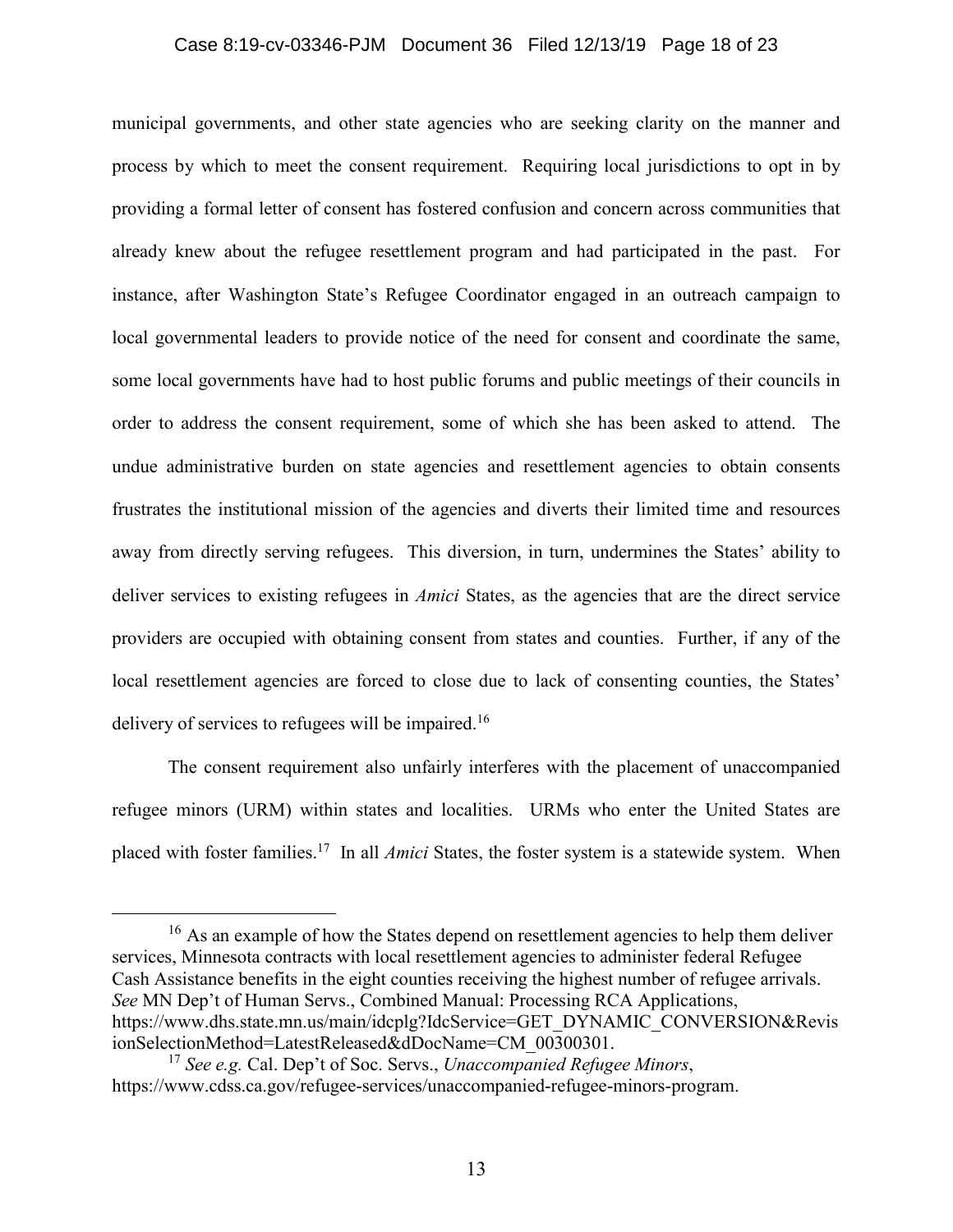### Case 8:19-cv-03346-PJM Document 36 Filed 12/13/19 Page 18 of 23

municipal governments, and other state agencies who are seeking clarity on the manner and process by which to meet the consent requirement. Requiring local jurisdictions to opt in by providing a formal letter of consent has fostered confusion and concern across communities that already knew about the refugee resettlement program and had participated in the past. For instance, after Washington State's Refugee Coordinator engaged in an outreach campaign to local governmental leaders to provide notice of the need for consent and coordinate the same, some local governments have had to host public forums and public meetings of their councils in order to address the consent requirement, some of which she has been asked to attend. The undue administrative burden on state agencies and resettlement agencies to obtain consents frustrates the institutional mission of the agencies and diverts their limited time and resources away from directly serving refugees. This diversion, in turn, undermines the States' ability to deliver services to existing refugees in *Amici* States, as the agencies that are the direct service providers are occupied with obtaining consent from states and counties. Further, if any of the local resettlement agencies are forced to close due to lack of consenting counties, the States' delivery of services to refugees will be impaired.<sup>16</sup>

The consent requirement also unfairly interferes with the placement of unaccompanied refugee minors (URM) within states and localities. URMs who enter the United States are placed with foster families.17 In all *Amici* States, the foster system is a statewide system. When

<sup>16</sup> As an example of how the States depend on resettlement agencies to help them deliver services, Minnesota contracts with local resettlement agencies to administer federal Refugee Cash Assistance benefits in the eight counties receiving the highest number of refugee arrivals. *See* MN Dep't of Human Servs., Combined Manual: Processing RCA Applications, https://www.dhs.state.mn.us/main/idcplg?IdcService=GET\_DYNAMIC\_CONVERSION&Revis ionSelectionMethod=LatestReleased&dDocName=CM\_00300301.

<sup>17</sup> *See e.g.* Cal. Dep't of Soc. Servs., *Unaccompanied Refugee Minors*, https://www.cdss.ca.gov/refugee-services/unaccompanied-refugee-minors-program.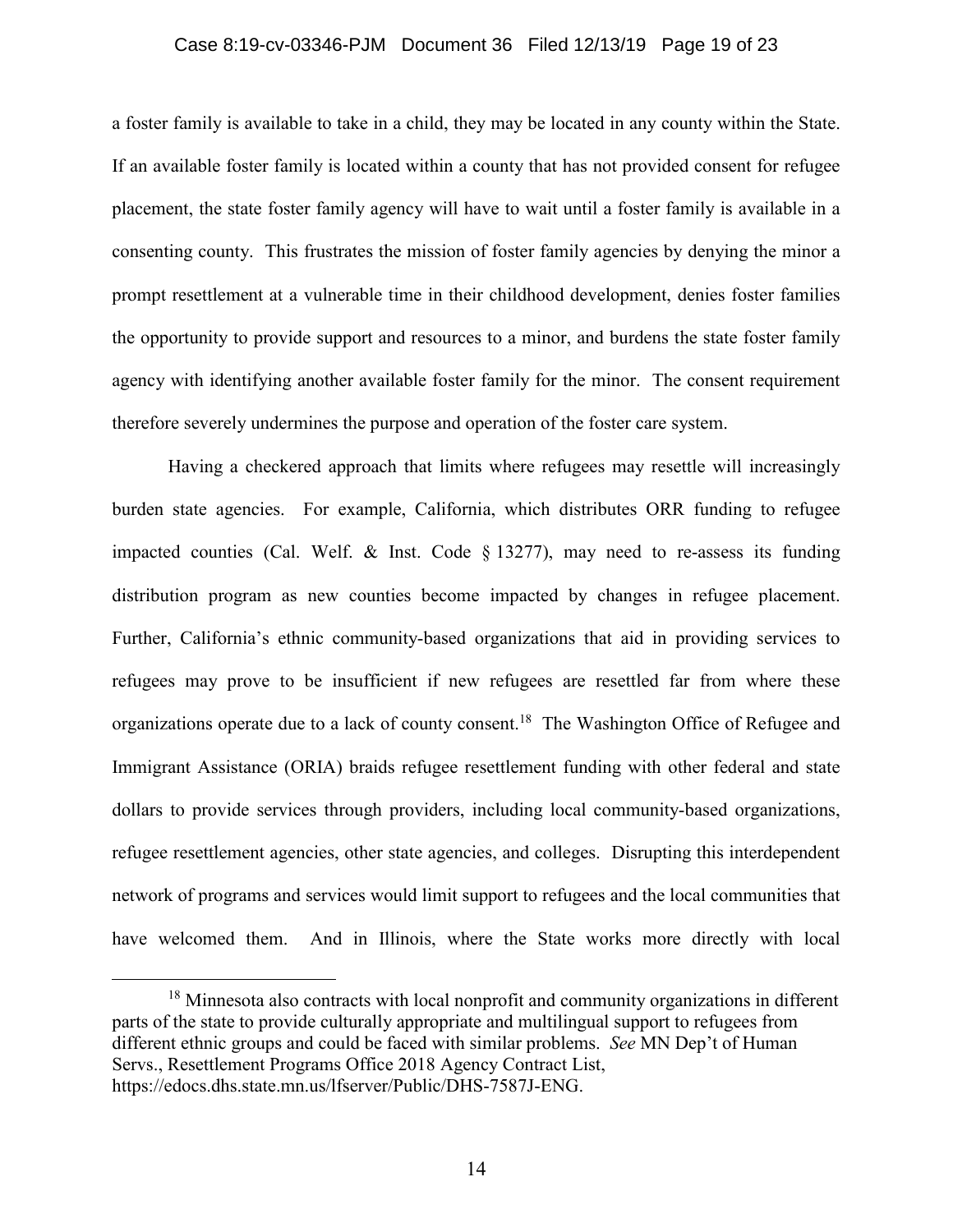#### Case 8:19-cv-03346-PJM Document 36 Filed 12/13/19 Page 19 of 23

a foster family is available to take in a child, they may be located in any county within the State. If an available foster family is located within a county that has not provided consent for refugee placement, the state foster family agency will have to wait until a foster family is available in a consenting county. This frustrates the mission of foster family agencies by denying the minor a prompt resettlement at a vulnerable time in their childhood development, denies foster families the opportunity to provide support and resources to a minor, and burdens the state foster family agency with identifying another available foster family for the minor. The consent requirement therefore severely undermines the purpose and operation of the foster care system.

Having a checkered approach that limits where refugees may resettle will increasingly burden state agencies. For example, California, which distributes ORR funding to refugee impacted counties (Cal. Welf. & Inst. Code  $\S$  13277), may need to re-assess its funding distribution program as new counties become impacted by changes in refugee placement. Further, California's ethnic community-based organizations that aid in providing services to refugees may prove to be insufficient if new refugees are resettled far from where these organizations operate due to a lack of county consent.<sup>18</sup> The Washington Office of Refugee and Immigrant Assistance (ORIA) braids refugee resettlement funding with other federal and state dollars to provide services through providers, including local community-based organizations, refugee resettlement agencies, other state agencies, and colleges. Disrupting this interdependent network of programs and services would limit support to refugees and the local communities that have welcomed them. And in Illinois, where the State works more directly with local

<sup>&</sup>lt;sup>18</sup> Minnesota also contracts with local nonprofit and community organizations in different parts of the state to provide culturally appropriate and multilingual support to refugees from different ethnic groups and could be faced with similar problems. *See* MN Dep't of Human Servs., Resettlement Programs Office 2018 Agency Contract List, https://edocs.dhs.state.mn.us/lfserver/Public/DHS-7587J-ENG.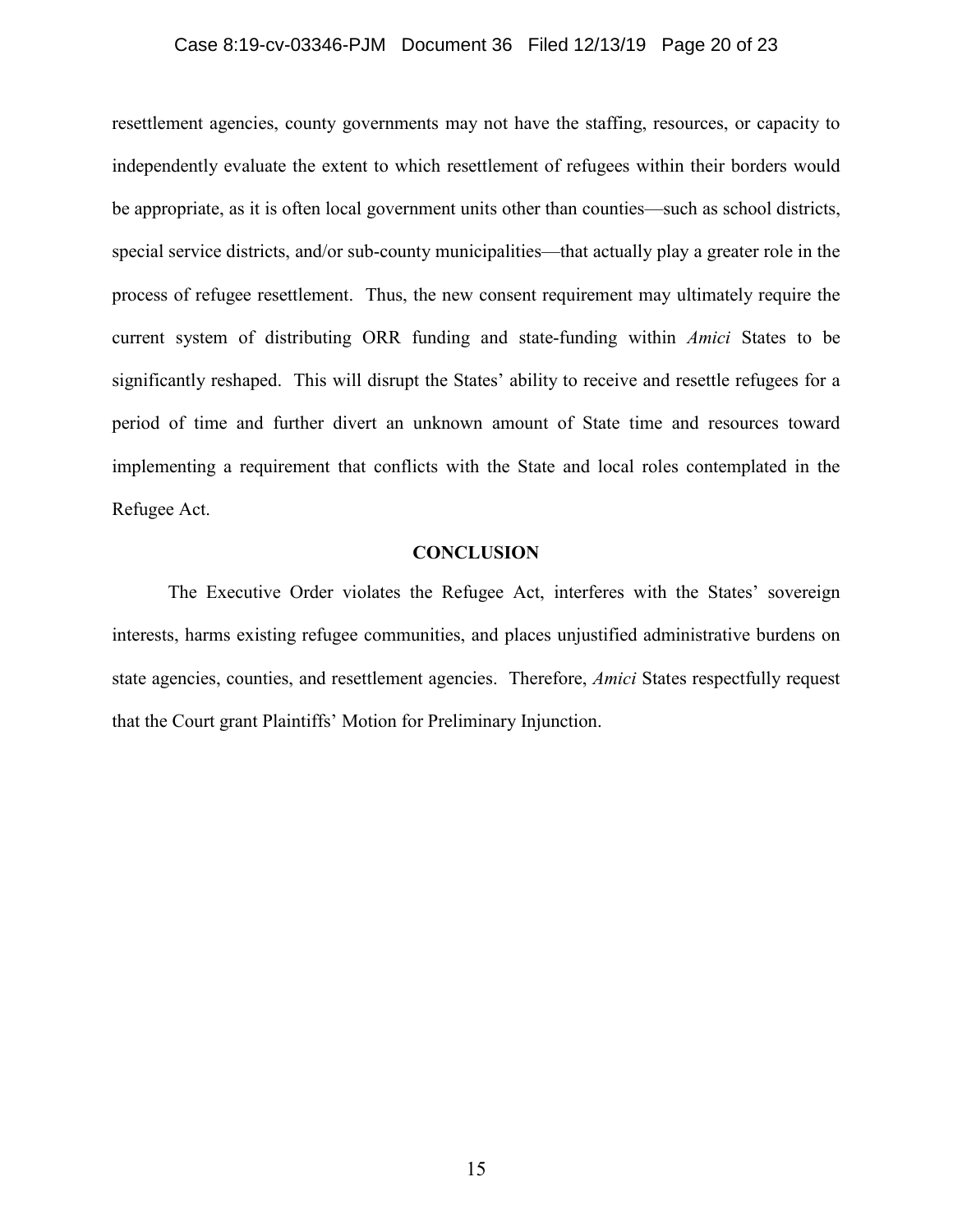### Case 8:19-cv-03346-PJM Document 36 Filed 12/13/19 Page 20 of 23

resettlement agencies, county governments may not have the staffing, resources, or capacity to independently evaluate the extent to which resettlement of refugees within their borders would be appropriate, as it is often local government units other than counties—such as school districts, special service districts, and/or sub-county municipalities—that actually play a greater role in the process of refugee resettlement. Thus, the new consent requirement may ultimately require the current system of distributing ORR funding and state-funding within *Amici* States to be significantly reshaped. This will disrupt the States' ability to receive and resettle refugees for a period of time and further divert an unknown amount of State time and resources toward implementing a requirement that conflicts with the State and local roles contemplated in the Refugee Act.

### **CONCLUSION**

The Executive Order violates the Refugee Act, interferes with the States' sovereign interests, harms existing refugee communities, and places unjustified administrative burdens on state agencies, counties, and resettlement agencies. Therefore, *Amici* States respectfully request that the Court grant Plaintiffs' Motion for Preliminary Injunction.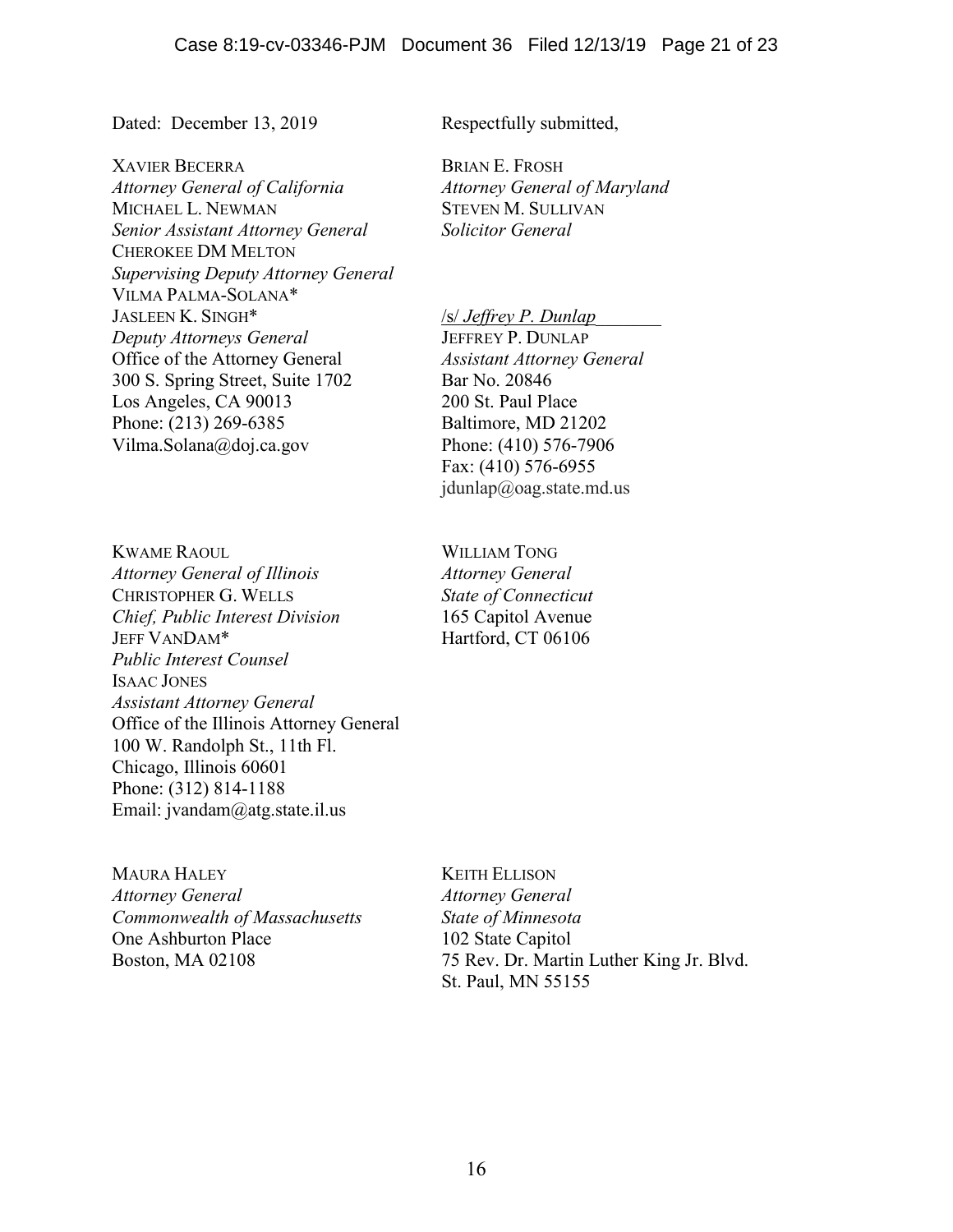Dated: December 13, 2019 Respectfully submitted,

XAVIER BECERRA *Attorney General of California* MICHAEL L. NEWMAN *Senior Assistant Attorney General* CHEROKEE DM MELTON *Supervising Deputy Attorney General* VILMA PALMA-SOLANA\* JASLEEN K. SINGH\* *Deputy Attorneys General* Office of the Attorney General 300 S. Spring Street, Suite 1702 Los Angeles, CA 90013 Phone: (213) 269-6385 Vilma.Solana@doj.ca.gov

KWAME RAOUL *Attorney General of Illinois*  CHRISTOPHER G. WELLS *Chief, Public Interest Division* JEFF VANDAM\* *Public Interest Counsel* ISAAC JONES *Assistant Attorney General* Office of the Illinois Attorney General 100 W. Randolph St., 11th Fl. Chicago, Illinois 60601 Phone: (312) 814-1188 Email: jvandam@atg.state.il.us

MAURA HALEY *Attorney General Commonwealth of Massachusetts* One Ashburton Place Boston, MA 02108

BRIAN E. FROSH *Attorney General of Maryland* STEVEN M. SULLIVAN *Solicitor General*

/s/ *Jeffrey P. Dunlap*\_\_\_\_\_\_\_

JEFFREY P. DUNLAP *Assistant Attorney General* Bar No. 20846 200 St. Paul Place Baltimore, MD 21202 Phone: (410) 576-7906 Fax: (410) 576-6955 jdunlap@oag.state.md.us

WILLIAM TONG *Attorney General State of Connecticut* 165 Capitol Avenue Hartford, CT 06106

KEITH ELLISON *Attorney General State of Minnesota* 102 State Capitol 75 Rev. Dr. Martin Luther King Jr. Blvd. St. Paul, MN 55155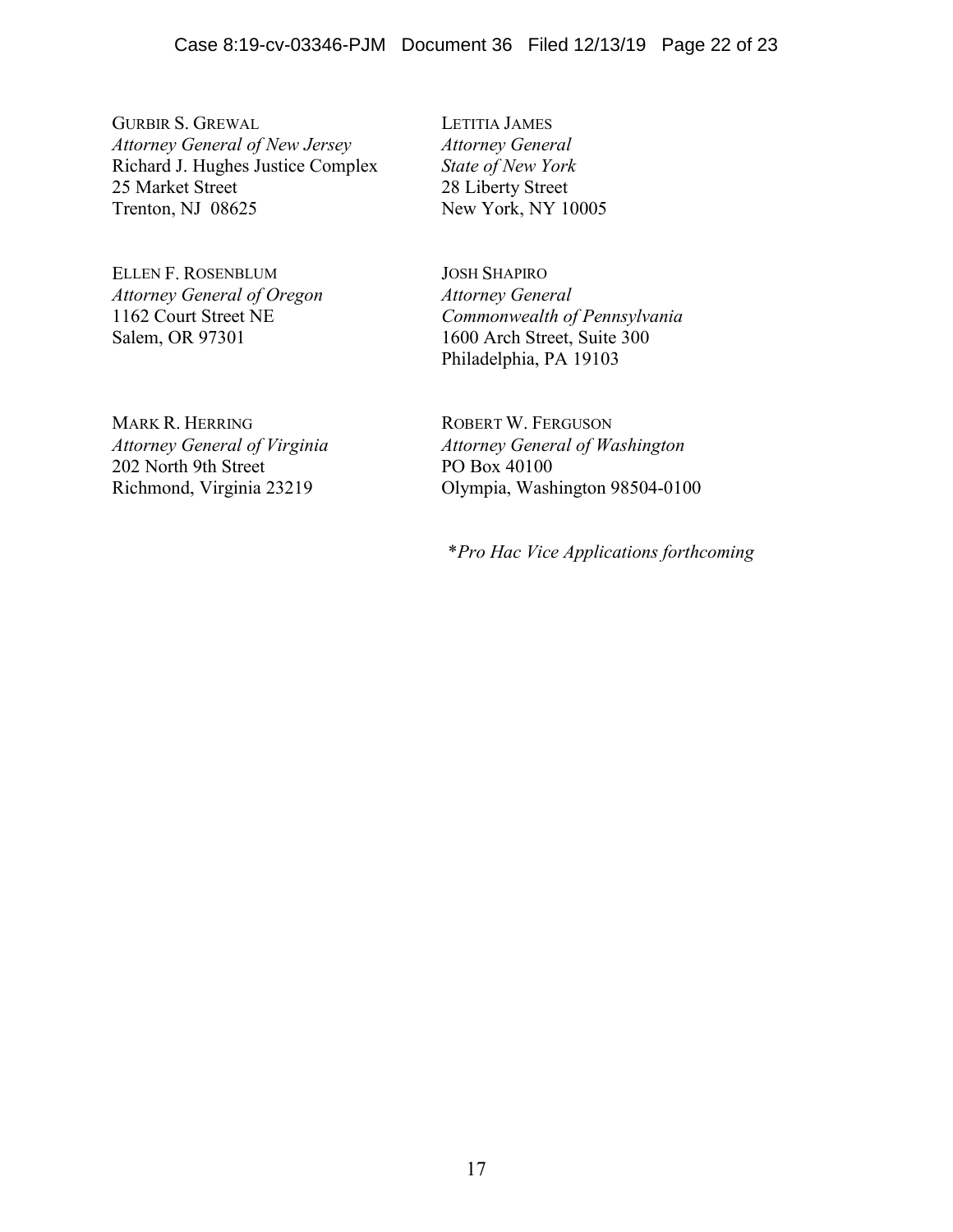GURBIR S. GREWAL *Attorney General of New Jersey* Richard J. Hughes Justice Complex 25 Market Street Trenton, NJ 08625

ELLEN F. ROSENBLUM *Attorney General of Oregon* 1162 Court Street NE Salem, OR 97301

MARK R. HERRING *Attorney General of Virginia* 202 North 9th Street Richmond, Virginia 23219

LETITIA JAMES *Attorney General State of New York* 28 Liberty Street New York, NY 10005

JOSH SHAPIRO *Attorney General Commonwealth of Pennsylvania* 1600 Arch Street, Suite 300 Philadelphia, PA 19103

ROBERT W. FERGUSON *Attorney General of Washington* PO Box 40100 Olympia, Washington 98504-0100

\**Pro Hac Vice Applications forthcoming*